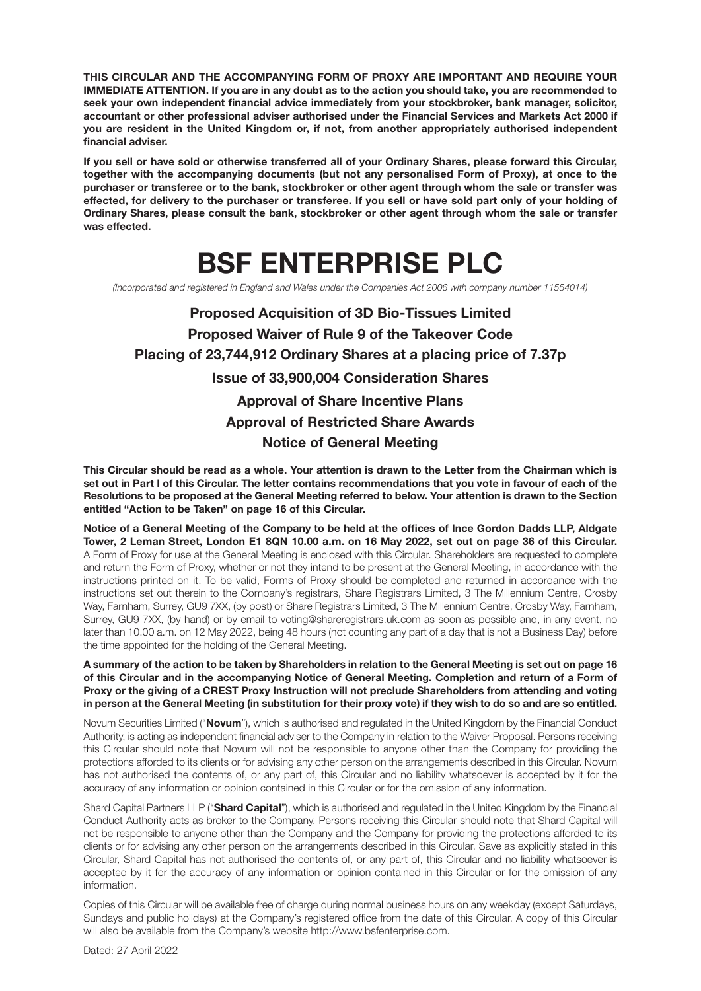**THIS CIRCULAR AND THE ACCOMPANYING FORM OF PROXY ARE IMPORTANT AND REQUIRE YOUR IMMEDIATE ATTENTION. If you are in any doubt as to the action you should take, you are recommended to seek your own independent financial advice immediately from your stockbroker, bank manager, solicitor, accountant or other professional adviser authorised under the Financial Services and Markets Act 2000 if you are resident in the United Kingdom or, if not, from another appropriately authorised independent financial adviser.**

**If you sell or have sold or otherwise transferred all of your Ordinary Shares, please forward this Circular, together with the accompanying documents (but not any personalised Form of Proxy), at once to the purchaser or transferee or to the bank, stockbroker or other agent through whom the sale or transfer was effected, for delivery to the purchaser or transferee. If you sell or have sold part only of your holding of Ordinary Shares, please consult the bank, stockbroker or other agent through whom the sale or transfer was effected.**

# **BSF ENTERPRISE PLC**

(Incorporated and registered in England and Wales under the Companies Act 2006 with company number 11554014)

**Proposed Acquisition of 3D Bio-Tissues Limited Proposed Waiver of Rule 9 of the Takeover Code Placing of 23,744,912 Ordinary Shares at a placing price of 7.37p Issue of 33,900,004 Consideration Shares Approval of Share Incentive Plans Approval of Restricted Share Awards Notice of General Meeting**

**This Circular should be read as a whole. Your attention is drawn to the Letter from the Chairman which is set out in Part I of this Circular. The letter contains recommendations that you vote in favour of each of the Resolutions to be proposed at the General Meeting referred to below. Your attention is drawn to the Section entitled "Action to be Taken" on page 16 of this Circular.**

**Notice of a General Meeting of the Company to be held at the offices of Ince Gordon Dadds LLP, Aldgate Tower, 2 Leman Street, London E1 8QN 10.00 a.m. on 16 May 2022, set out on page 36 of this Circular.** A Form of Proxy for use at the General Meeting is enclosed with this Circular. Shareholders are requested to complete and return the Form of Proxy, whether or not they intend to be present at the General Meeting, in accordance with the instructions printed on it. To be valid, Forms of Proxy should be completed and returned in accordance with the instructions set out therein to the Company's registrars, Share Registrars Limited, 3 The Millennium Centre, Crosby Way, Farnham, Surrey, GU9 7XX, (by post) or Share Registrars Limited, 3 The Millennium Centre, Crosby Way, Farnham, Surrey, GU9 7XX, (by hand) or by email to voting@shareregistrars.uk.com as soon as possible and, in any event, no later than 10.00 a.m. on 12 May 2022, being 48 hours (not counting any part of a day that is not a Business Day) before the time appointed for the holding of the General Meeting.

**A summary of the action to be taken by Shareholders in relation to the General Meeting is set out on page 16 of this Circular and in the accompanying Notice of General Meeting. Completion and return of a Form of Proxy or the giving of a CREST Proxy Instruction will not preclude Shareholders from attending and voting in person at the General Meeting (in substitution for their proxy vote) if they wish to do so and are so entitled.**

Novum Securities Limited ("**Novum**"), which is authorised and regulated in the United Kingdom by the Financial Conduct Authority, is acting as independent financial adviser to the Company in relation to the Waiver Proposal. Persons receiving this Circular should note that Novum will not be responsible to anyone other than the Company for providing the protections afforded to its clients or for advising any other person on the arrangements described in this Circular. Novum has not authorised the contents of, or any part of, this Circular and no liability whatsoever is accepted by it for the accuracy of any information or opinion contained in this Circular or for the omission of any information.

Shard Capital Partners LLP ("**Shard Capital**"), which is authorised and regulated in the United Kingdom by the Financial Conduct Authority acts as broker to the Company. Persons receiving this Circular should note that Shard Capital will not be responsible to anyone other than the Company and the Company for providing the protections afforded to its clients or for advising any other person on the arrangements described in this Circular. Save as explicitly stated in this Circular, Shard Capital has not authorised the contents of, or any part of, this Circular and no liability whatsoever is accepted by it for the accuracy of any information or opinion contained in this Circular or for the omission of any information.

Copies of this Circular will be available free of charge during normal business hours on any weekday (except Saturdays, Sundays and public holidays) at the Company's registered office from the date of this Circular. A copy of this Circular will also be available from the Company's website http://www.bsfenterprise.com.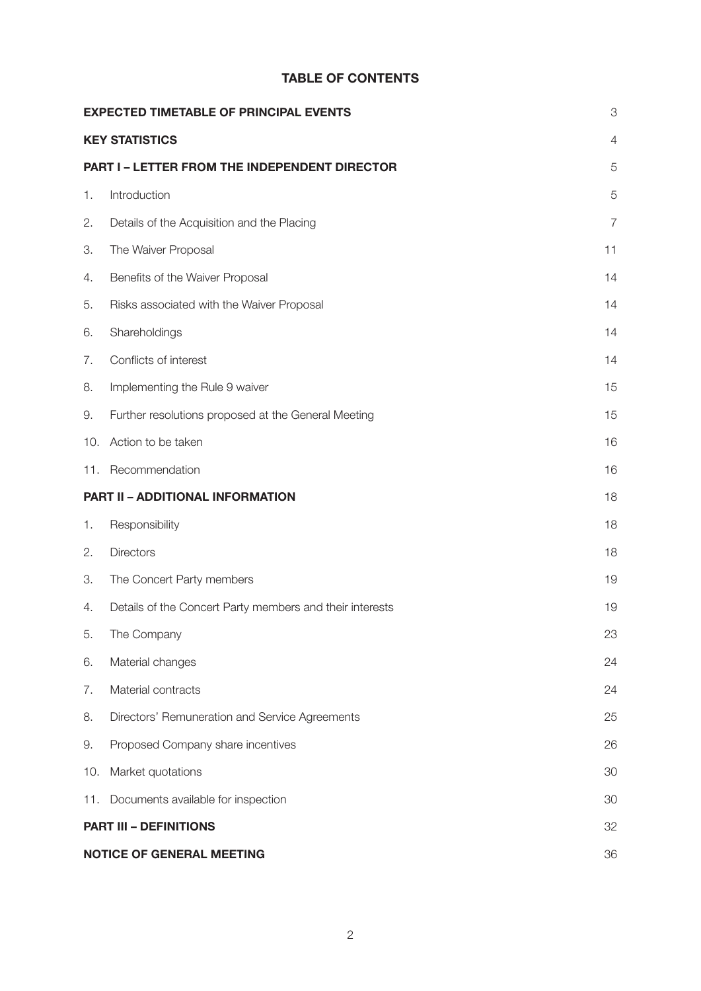## **TABLE OF CONTENTS**

|     | <b>EXPECTED TIMETABLE OF PRINCIPAL EVENTS</b>            |                |  |  |
|-----|----------------------------------------------------------|----------------|--|--|
|     | <b>KEY STATISTICS</b>                                    | $\overline{4}$ |  |  |
|     | PART I - LETTER FROM THE INDEPENDENT DIRECTOR            |                |  |  |
| 1.  | Introduction                                             | 5              |  |  |
| 2.  | Details of the Acquisition and the Placing               | $\overline{7}$ |  |  |
| З.  | The Waiver Proposal                                      | 11             |  |  |
| 4.  | Benefits of the Waiver Proposal                          | 14             |  |  |
| 5.  | Risks associated with the Waiver Proposal                | 14             |  |  |
| 6.  | Shareholdings                                            | 14             |  |  |
| 7.  | Conflicts of interest                                    | 14             |  |  |
| 8.  | Implementing the Rule 9 waiver                           | 15             |  |  |
| 9.  | Further resolutions proposed at the General Meeting      | 15             |  |  |
| 10. | Action to be taken                                       | 16             |  |  |
|     | 11. Recommendation                                       | 16             |  |  |
|     | PART II - ADDITIONAL INFORMATION                         | 18             |  |  |
| 1.  | Responsibility                                           | 18             |  |  |
| 2.  | <b>Directors</b>                                         | 18             |  |  |
| З.  | The Concert Party members                                | 19             |  |  |
| 4.  | Details of the Concert Party members and their interests | 19             |  |  |
| 5.  | The Company                                              | 23             |  |  |
| 6.  | Material changes                                         | 24             |  |  |
| 7.  | Material contracts                                       | 24             |  |  |
| 8.  | Directors' Remuneration and Service Agreements           | 25             |  |  |
| 9.  | Proposed Company share incentives                        | 26             |  |  |
| 10. | Market quotations                                        | 30             |  |  |
| 11. | Documents available for inspection                       | 30             |  |  |
|     | <b>PART III - DEFINITIONS</b>                            | 32             |  |  |
|     | <b>NOTICE OF GENERAL MEETING</b>                         | 36             |  |  |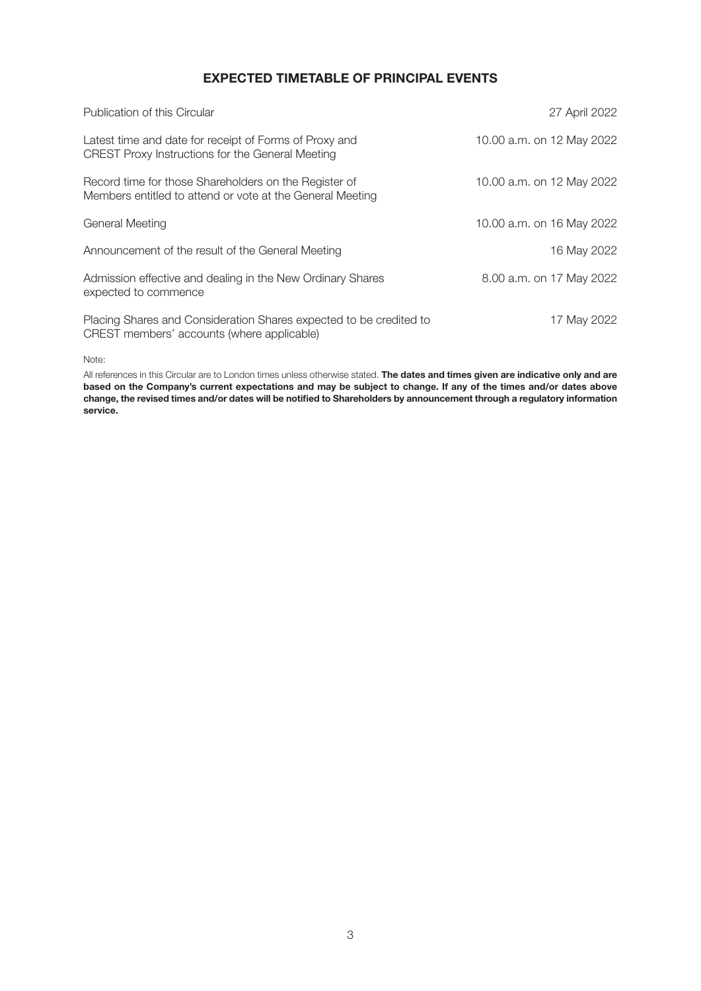## **EXPECTED TIMETABLE OF PRINCIPAL EVENTS**

| Publication of this Circular                                                                                       | 27 April 2022             |
|--------------------------------------------------------------------------------------------------------------------|---------------------------|
| Latest time and date for receipt of Forms of Proxy and<br>CREST Proxy Instructions for the General Meeting         | 10.00 a.m. on 12 May 2022 |
| Record time for those Shareholders on the Register of<br>Members entitled to attend or vote at the General Meeting | 10.00 a.m. on 12 May 2022 |
| General Meeting                                                                                                    | 10.00 a.m. on 16 May 2022 |
| Announcement of the result of the General Meeting                                                                  | 16 May 2022               |
| Admission effective and dealing in the New Ordinary Shares<br>expected to commence                                 | 8.00 a.m. on 17 May 2022  |
| Placing Shares and Consideration Shares expected to be credited to<br>CREST members' accounts (where applicable)   | 17 May 2022               |

Note:

All references in this Circular are to London times unless otherwise stated. **The dates and times given are indicative only and are based on the Company's current expectations and may be subject to change. If any of the times and/or dates above change, the revised times and/or dates will be notified to Shareholders by announcement through a regulatory information service.**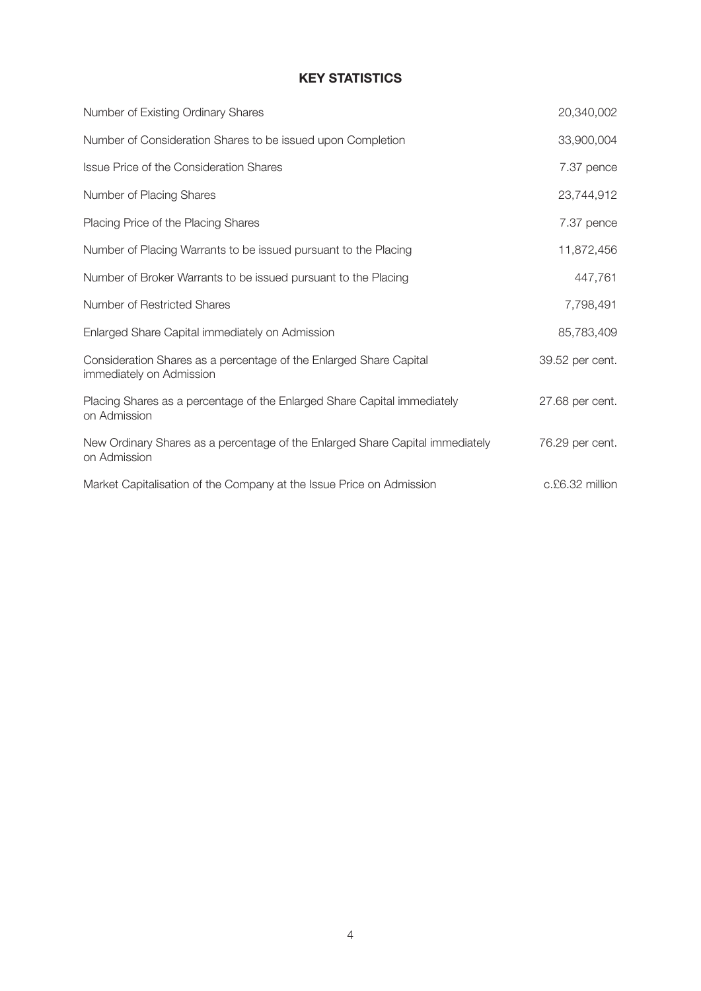## **KEY STATISTICS**

| Number of Existing Ordinary Shares                                                             | 20,340,002      |
|------------------------------------------------------------------------------------------------|-----------------|
| Number of Consideration Shares to be issued upon Completion                                    | 33,900,004      |
| <b>Issue Price of the Consideration Shares</b>                                                 | 7.37 pence      |
| Number of Placing Shares                                                                       | 23,744,912      |
| Placing Price of the Placing Shares                                                            | 7.37 pence      |
| Number of Placing Warrants to be issued pursuant to the Placing                                | 11,872,456      |
| Number of Broker Warrants to be issued pursuant to the Placing                                 | 447,761         |
| Number of Restricted Shares                                                                    | 7,798,491       |
| Enlarged Share Capital immediately on Admission                                                | 85,783,409      |
| Consideration Shares as a percentage of the Enlarged Share Capital<br>immediately on Admission | 39.52 per cent. |
| Placing Shares as a percentage of the Enlarged Share Capital immediately<br>on Admission       | 27.68 per cent. |
| New Ordinary Shares as a percentage of the Enlarged Share Capital immediately<br>on Admission  | 76.29 per cent. |
| Market Capitalisation of the Company at the Issue Price on Admission                           | c.£6.32 million |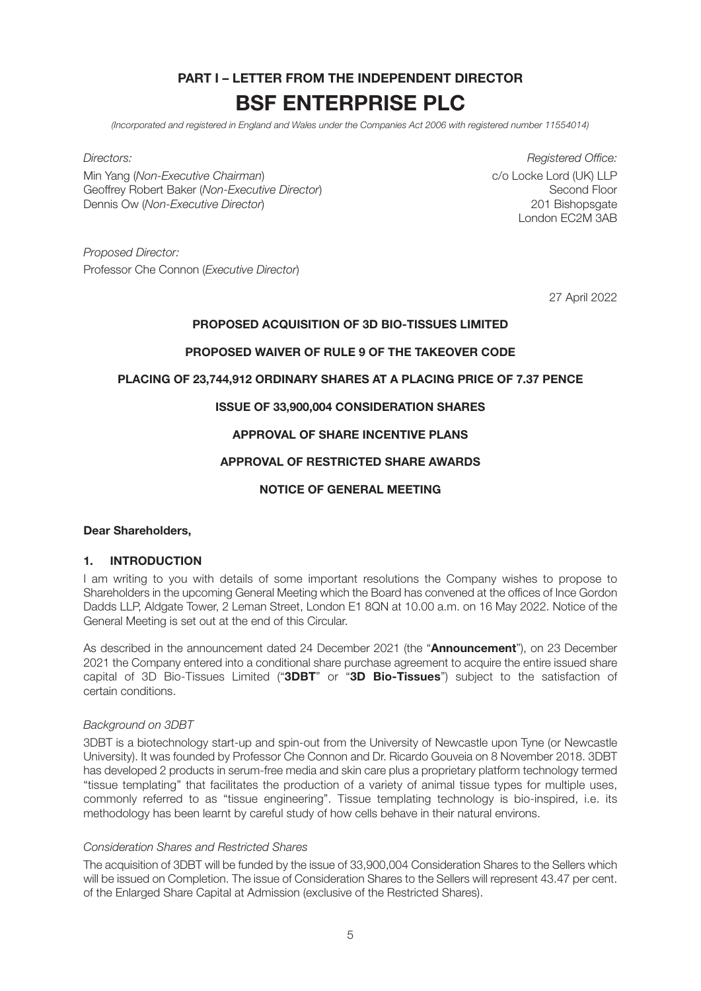## **PART I – LETTER FROM THE INDEPENDENT DIRECTOR BSF ENTERPRISE PLC**

(Incorporated and registered in England and Wales under the Companies Act 2006 with registered number 11554014)

Min Yang (Non-Executive Chairman)<br>Geoffrey Robert Baker (Non-Executive Director) contracts to the Second Floor Second Floor Geoffrey Robert Baker (Non-Executive Director) Dennis Ow (Non-Executive Director) 201 Bishopsgate

Directors: Registered Office: London EC2M 3AB

Proposed Director: Professor Che Connon (Executive Director)

27 April 2022

#### **PROPOSED ACQUISITION OF 3D BIO-TISSUES LIMITED**

#### **PROPOSED WAIVER OF RULE 9 OF THE TAKEOVER CODE**

#### **PLACING OF 23,744,912 ORDINARY SHARES AT A PLACING PRICE OF 7.37 PENCE**

## **ISSUE OF 33,900,004 CONSIDERATION SHARES**

## **APPROVAL OF SHARE INCENTIVE PLANS**

## **APPROVAL OF RESTRICTED SHARE AWARDS**

#### **NOTICE OF GENERAL MEETING**

#### **Dear Shareholders,**

#### **1. INTRODUCTION**

I am writing to you with details of some important resolutions the Company wishes to propose to Shareholders in the upcoming General Meeting which the Board has convened at the offices of Ince Gordon Dadds LLP, Aldgate Tower, 2 Leman Street, London E1 8QN at 10.00 a.m. on 16 May 2022. Notice of the General Meeting is set out at the end of this Circular.

As described in the announcement dated 24 December 2021 (the "**Announcement**"), on 23 December 2021 the Company entered into a conditional share purchase agreement to acquire the entire issued share capital of 3D Bio-Tissues Limited ("**3DBT**" or "**3D Bio-Tissues**") subject to the satisfaction of certain conditions.

#### Background on 3DBT

3DBT is a biotechnology start-up and spin-out from the University of Newcastle upon Tyne (or Newcastle University). It was founded by Professor Che Connon and Dr. Ricardo Gouveia on 8 November 2018. 3DBT has developed 2 products in serum-free media and skin care plus a proprietary platform technology termed "tissue templating" that facilitates the production of a variety of animal tissue types for multiple uses, commonly referred to as "tissue engineering". Tissue templating technology is bio-inspired, i.e. its methodology has been learnt by careful study of how cells behave in their natural environs.

#### Consideration Shares and Restricted Shares

The acquisition of 3DBT will be funded by the issue of 33,900,004 Consideration Shares to the Sellers which will be issued on Completion. The issue of Consideration Shares to the Sellers will represent 43.47 per cent. of the Enlarged Share Capital at Admission (exclusive of the Restricted Shares).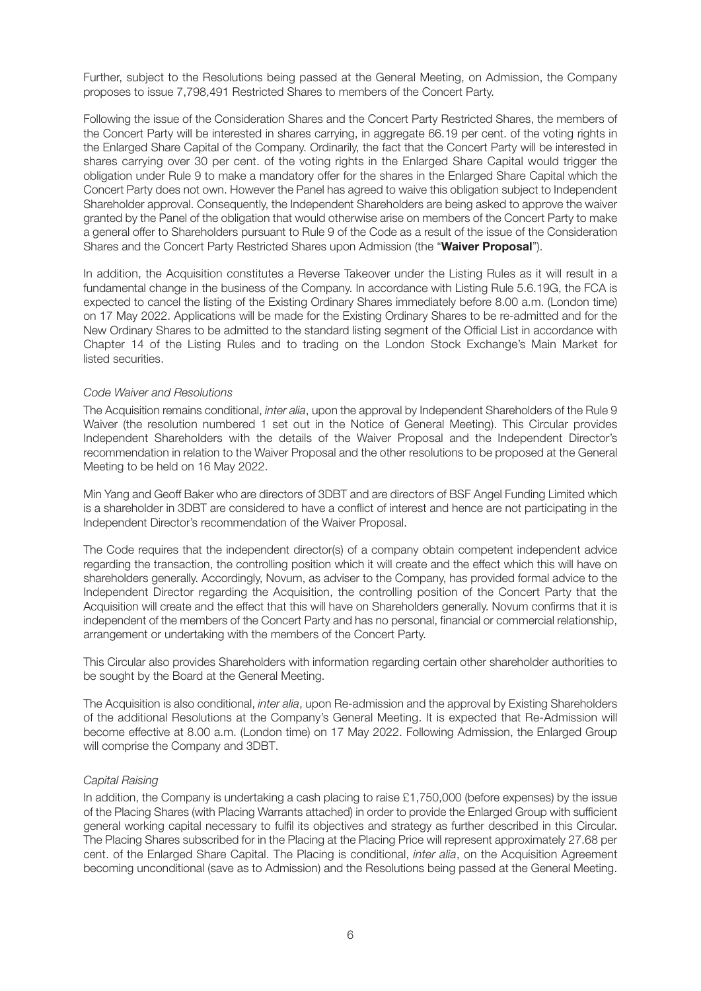Further, subject to the Resolutions being passed at the General Meeting, on Admission, the Company proposes to issue 7,798,491 Restricted Shares to members of the Concert Party.

Following the issue of the Consideration Shares and the Concert Party Restricted Shares, the members of the Concert Party will be interested in shares carrying, in aggregate 66.19 per cent. of the voting rights in the Enlarged Share Capital of the Company. Ordinarily, the fact that the Concert Party will be interested in shares carrying over 30 per cent. of the voting rights in the Enlarged Share Capital would trigger the obligation under Rule 9 to make a mandatory offer for the shares in the Enlarged Share Capital which the Concert Party does not own. However the Panel has agreed to waive this obligation subject to Independent Shareholder approval. Consequently, the Independent Shareholders are being asked to approve the waiver granted by the Panel of the obligation that would otherwise arise on members of the Concert Party to make a general offer to Shareholders pursuant to Rule 9 of the Code as a result of the issue of the Consideration Shares and the Concert Party Restricted Shares upon Admission (the "**Waiver Proposal**").

In addition, the Acquisition constitutes a Reverse Takeover under the Listing Rules as it will result in a fundamental change in the business of the Company. In accordance with Listing Rule 5.6.19G, the FCA is expected to cancel the listing of the Existing Ordinary Shares immediately before 8.00 a.m. (London time) on 17 May 2022. Applications will be made for the Existing Ordinary Shares to be re-admitted and for the New Ordinary Shares to be admitted to the standard listing segment of the Official List in accordance with Chapter 14 of the Listing Rules and to trading on the London Stock Exchange's Main Market for listed securities.

#### Code Waiver and Resolutions

The Acquisition remains conditional, *inter alia*, upon the approval by Independent Shareholders of the Rule 9 Waiver (the resolution numbered 1 set out in the Notice of General Meeting). This Circular provides Independent Shareholders with the details of the Waiver Proposal and the Independent Director's recommendation in relation to the Waiver Proposal and the other resolutions to be proposed at the General Meeting to be held on 16 May 2022.

Min Yang and Geoff Baker who are directors of 3DBT and are directors of BSF Angel Funding Limited which is a shareholder in 3DBT are considered to have a conflict of interest and hence are not participating in the Independent Director's recommendation of the Waiver Proposal.

The Code requires that the independent director(s) of a company obtain competent independent advice regarding the transaction, the controlling position which it will create and the effect which this will have on shareholders generally. Accordingly, Novum, as adviser to the Company, has provided formal advice to the Independent Director regarding the Acquisition, the controlling position of the Concert Party that the Acquisition will create and the effect that this will have on Shareholders generally. Novum confirms that it is independent of the members of the Concert Party and has no personal, financial or commercial relationship, arrangement or undertaking with the members of the Concert Party.

This Circular also provides Shareholders with information regarding certain other shareholder authorities to be sought by the Board at the General Meeting.

The Acquisition is also conditional, *inter alia*, upon Re-admission and the approval by Existing Shareholders of the additional Resolutions at the Company's General Meeting. It is expected that Re-Admission will become effective at 8.00 a.m. (London time) on 17 May 2022. Following Admission, the Enlarged Group will comprise the Company and 3DBT.

#### Capital Raising

In addition, the Company is undertaking a cash placing to raise  $£1,750,000$  (before expenses) by the issue of the Placing Shares (with Placing Warrants attached) in order to provide the Enlarged Group with sufficient general working capital necessary to fulfil its objectives and strategy as further described in this Circular. The Placing Shares subscribed for in the Placing at the Placing Price will represent approximately 27.68 per cent. of the Enlarged Share Capital. The Placing is conditional, inter alia, on the Acquisition Agreement becoming unconditional (save as to Admission) and the Resolutions being passed at the General Meeting.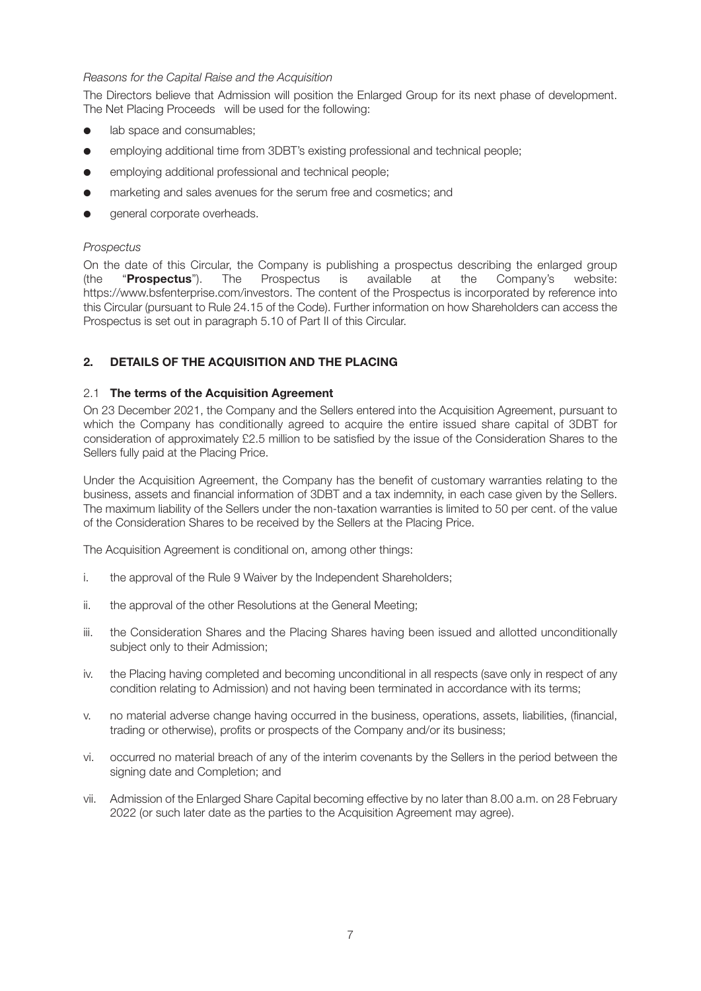### Reasons for the Capital Raise and the Acquisition

The Directors believe that Admission will position the Enlarged Group for its next phase of development. The Net Placing Proceeds will be used for the following:

- lab space and consumables;
- employing additional time from 3DBT's existing professional and technical people;
- employing additional professional and technical people;
- **e** marketing and sales avenues for the serum free and cosmetics; and
- general corporate overheads.

#### Prospectus

On the date of this Circular, the Company is publishing a prospectus describing the enlarged group (the "**Prospectus**"). The Prospectus is available at the Company's website: https://www.bsfenterprise.com/investors. The content of the Prospectus is incorporated by reference into this Circular (pursuant to Rule 24.15 of the Code). Further information on how Shareholders can access the Prospectus is set out in paragraph 5.10 of Part II of this Circular.

## **2. DETAILS OF THE ACQUISITION AND THE PLACING**

#### 2.1 **The terms of the Acquisition Agreement**

On 23 December 2021, the Company and the Sellers entered into the Acquisition Agreement, pursuant to which the Company has conditionally agreed to acquire the entire issued share capital of 3DBT for consideration of approximately £2.5 million to be satisfied by the issue of the Consideration Shares to the Sellers fully paid at the Placing Price.

Under the Acquisition Agreement, the Company has the benefit of customary warranties relating to the business, assets and financial information of 3DBT and a tax indemnity, in each case given by the Sellers. The maximum liability of the Sellers under the non-taxation warranties is limited to 50 per cent. of the value of the Consideration Shares to be received by the Sellers at the Placing Price.

The Acquisition Agreement is conditional on, among other things:

- i. the approval of the Rule 9 Waiver by the Independent Shareholders;
- ii. the approval of the other Resolutions at the General Meeting;
- iii. the Consideration Shares and the Placing Shares having been issued and allotted unconditionally subject only to their Admission;
- iv. the Placing having completed and becoming unconditional in all respects (save only in respect of any condition relating to Admission) and not having been terminated in accordance with its terms;
- v. no material adverse change having occurred in the business, operations, assets, liabilities, (financial, trading or otherwise), profits or prospects of the Company and/or its business;
- vi. occurred no material breach of any of the interim covenants by the Sellers in the period between the signing date and Completion; and
- vii. Admission of the Enlarged Share Capital becoming effective by no later than 8.00 a.m. on 28 February 2022 (or such later date as the parties to the Acquisition Agreement may agree).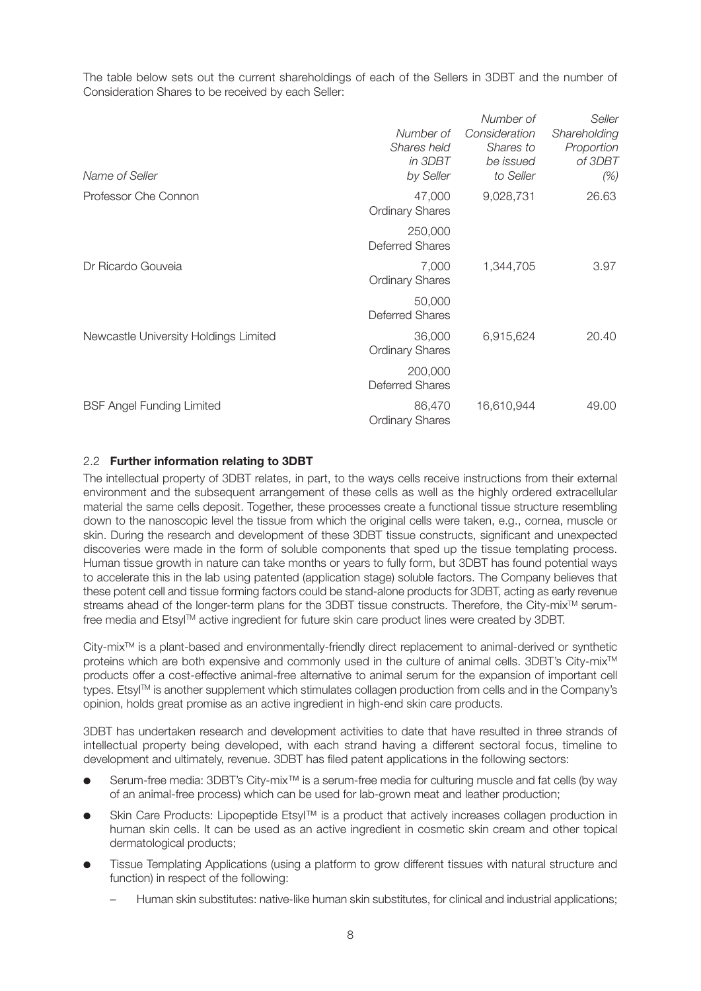The table below sets out the current shareholdings of each of the Sellers in 3DBT and the number of Consideration Shares to be received by each Seller:

| Name of Seller                        | Number of<br>Shares held<br>in 3DBT<br>by Seller | Number of<br>Consideration<br>Shares to<br>be issued<br>to Seller | Seller<br>Shareholding<br>Proportion<br>of 3DBT<br>(%) |
|---------------------------------------|--------------------------------------------------|-------------------------------------------------------------------|--------------------------------------------------------|
| Professor Che Connon                  | 47,000<br><b>Ordinary Shares</b>                 | 9,028,731                                                         | 26.63                                                  |
|                                       | 250,000<br><b>Deferred Shares</b>                |                                                                   |                                                        |
| Dr Ricardo Gouveia                    | 7,000<br><b>Ordinary Shares</b>                  | 1,344,705                                                         | 3.97                                                   |
|                                       | 50,000<br><b>Deferred Shares</b>                 |                                                                   |                                                        |
| Newcastle University Holdings Limited | 36,000<br><b>Ordinary Shares</b>                 | 6,915,624                                                         | 20.40                                                  |
|                                       | 200,000<br><b>Deferred Shares</b>                |                                                                   |                                                        |
| <b>BSF Angel Funding Limited</b>      | 86,470<br><b>Ordinary Shares</b>                 | 16,610,944                                                        | 49.00                                                  |

### 2.2 **Further information relating to 3DBT**

The intellectual property of 3DBT relates, in part, to the ways cells receive instructions from their external environment and the subsequent arrangement of these cells as well as the highly ordered extracellular material the same cells deposit. Together, these processes create a functional tissue structure resembling down to the nanoscopic level the tissue from which the original cells were taken, e.g., cornea, muscle or skin. During the research and development of these 3DBT tissue constructs, significant and unexpected discoveries were made in the form of soluble components that sped up the tissue templating process. Human tissue growth in nature can take months or years to fully form, but 3DBT has found potential ways to accelerate this in the lab using patented (application stage) soluble factors. The Company believes that these potent cell and tissue forming factors could be stand-alone products for 3DBT, acting as early revenue streams ahead of the longer-term plans for the 3DBT tissue constructs. Therefore, the City-mix<sup>™</sup> serumfree media and Etsyl™ active ingredient for future skin care product lines were created by 3DBT.

 $C$ ity-mix $\mathbb{M}$  is a plant-based and environmentally-friendly direct replacement to animal-derived or synthetic proteins which are both expensive and commonly used in the culture of animal cells. 3DBT's City-mix™ products offer a cost-effective animal-free alternative to animal serum for the expansion of important cell types. EtsylTM is another supplement which stimulates collagen production from cells and in the Company's opinion, holds great promise as an active ingredient in high-end skin care products.

3DBT has undertaken research and development activities to date that have resulted in three strands of intellectual property being developed, with each strand having a different sectoral focus, timeline to development and ultimately, revenue. 3DBT has filed patent applications in the following sectors:

- l Serum-free media: 3DBT's City-mix™ is a serum-free media for culturing muscle and fat cells (by way of an animal-free process) which can be used for lab-grown meat and leather production;
- Skin Care Products: Lipopeptide Etsyl™ is a product that actively increases collagen production in human skin cells. It can be used as an active ingredient in cosmetic skin cream and other topical dermatological products;
- Tissue Templating Applications (using a platform to grow different tissues with natural structure and function) in respect of the following:
	- Human skin substitutes: native-like human skin substitutes, for clinical and industrial applications;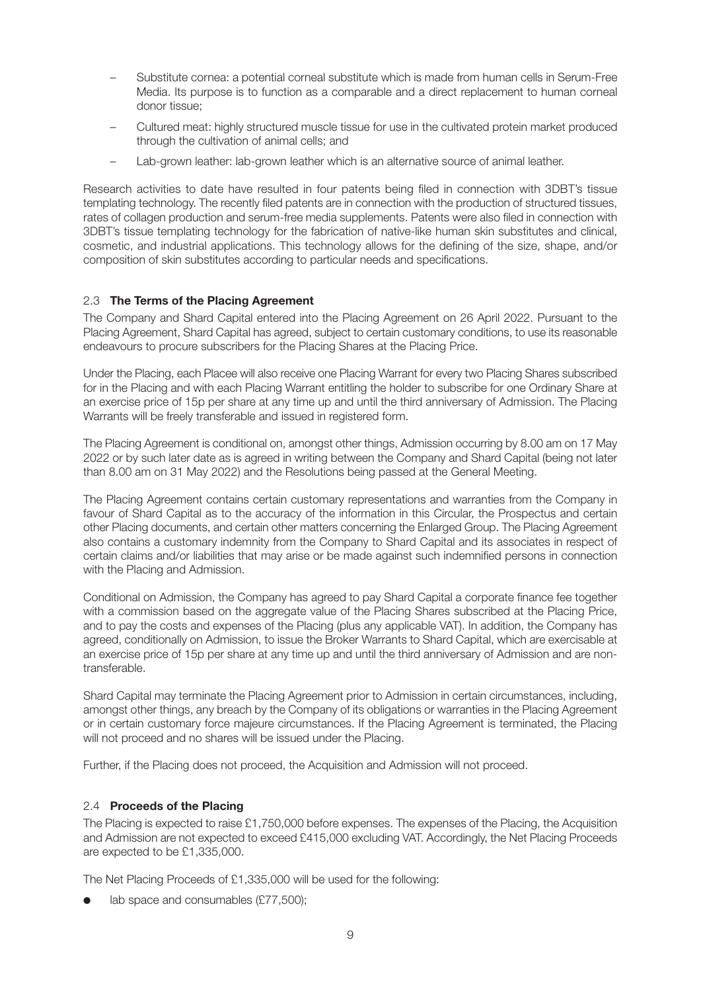- Substitute cornea: a potential corneal substitute which is made from human cells in Serum-Free Media. Its purpose is to function as a comparable and a direct replacement to human corneal donor tissue;
- Cultured meat: highly structured muscle tissue for use in the cultivated protein market produced through the cultivation of animal cells; and
- Lab-grown leather: lab-grown leather which is an alternative source of animal leather.

Research activities to date have resulted in four patents being filed in connection with 3DBT's tissue templating technology. The recently filed patents are in connection with the production of structured tissues, rates of collagen production and serum-free media supplements. Patents were also filed in connection with 3DBT's tissue templating technology for the fabrication of native-like human skin substitutes and clinical, cosmetic, and industrial applications. This technology allows for the defining of the size, shape, and/or composition of skin substitutes according to particular needs and specifications.

#### 2.3 **The Terms of the Placing Agreement**

The Company and Shard Capital entered into the Placing Agreement on 26 April 2022. Pursuant to the Placing Agreement, Shard Capital has agreed, subject to certain customary conditions, to use its reasonable endeavours to procure subscribers for the Placing Shares at the Placing Price.

Under the Placing, each Placee will also receive one Placing Warrant for every two Placing Shares subscribed for in the Placing and with each Placing Warrant entitling the holder to subscribe for one Ordinary Share at an exercise price of 15p per share at any time up and until the third anniversary of Admission. The Placing Warrants will be freely transferable and issued in registered form.

The Placing Agreement is conditional on, amongst other things, Admission occurring by 8.00 am on 17 May 2022 or by such later date as is agreed in writing between the Company and Shard Capital (being not later than 8.00 am on 31 May 2022) and the Resolutions being passed at the General Meeting.

The Placing Agreement contains certain customary representations and warranties from the Company in favour of Shard Capital as to the accuracy of the information in this Circular, the Prospectus and certain other Placing documents, and certain other matters concerning the Enlarged Group. The Placing Agreement also contains a customary indemnity from the Company to Shard Capital and its associates in respect of certain claims and/or liabilities that may arise or be made against such indemnified persons in connection with the Placing and Admission.

Conditional on Admission, the Company has agreed to pay Shard Capital a corporate finance fee together with a commission based on the aggregate value of the Placing Shares subscribed at the Placing Price, and to pay the costs and expenses of the Placing (plus any applicable VAT). In addition, the Company has agreed, conditionally on Admission, to issue the Broker Warrants to Shard Capital, which are exercisable at an exercise price of 15p per share at any time up and until the third anniversary of Admission and are nontransferable.

Shard Capital may terminate the Placing Agreement prior to Admission in certain circumstances, including, amongst other things, any breach by the Company of its obligations or warranties in the Placing Agreement or in certain customary force majeure circumstances. If the Placing Agreement is terminated, the Placing will not proceed and no shares will be issued under the Placing.

Further, if the Placing does not proceed, the Acquisition and Admission will not proceed.

#### 2.4 **Proceeds of the Placing**

The Placing is expected to raise £1,750,000 before expenses. The expenses of the Placing, the Acquisition and Admission are not expected to exceed £415,000 excluding VAT. Accordingly, the Net Placing Proceeds are expected to be £1,335,000.

The Net Placing Proceeds of £1,335,000 will be used for the following:

lab space and consumables  $(E77,500)$ ;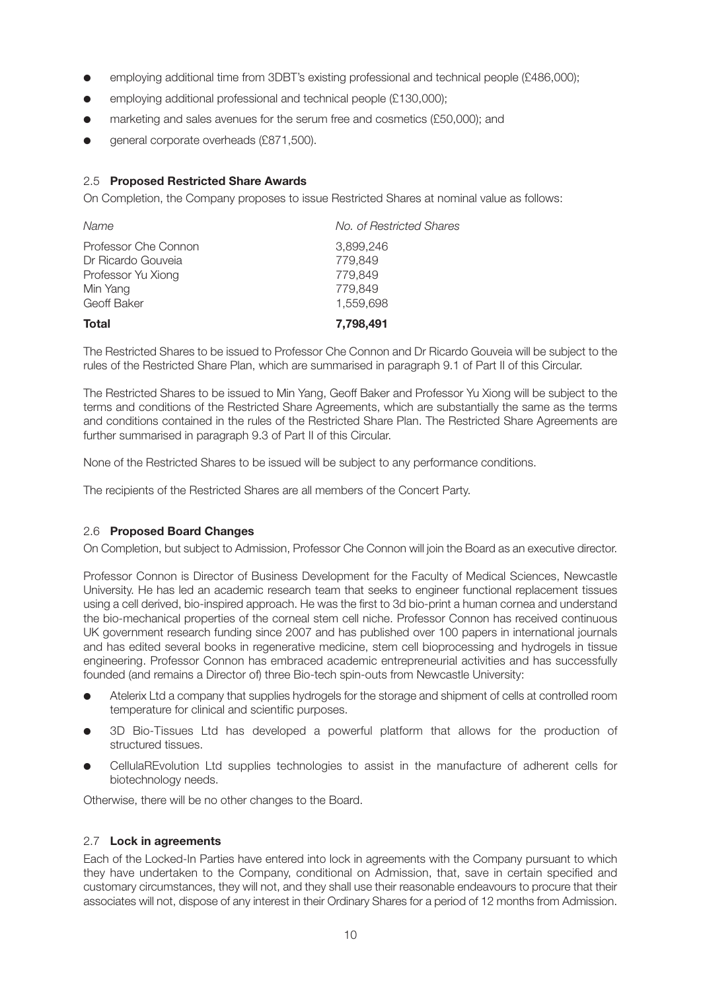- employing additional time from 3DBT's existing professional and technical people (£486,000);
- $\bullet$  employing additional professional and technical people (£130,000);
- marketing and sales avenues for the serum free and cosmetics (£50,000); and
- qeneral corporate overheads (£871,500).

### 2.5 **Proposed Restricted Share Awards**

On Completion, the Company proposes to issue Restricted Shares at nominal value as follows:

| Total                | 7,798,491                |
|----------------------|--------------------------|
| Geoff Baker          | 1,559,698                |
| Min Yang             | 779.849                  |
| Professor Yu Xiong   | 779.849                  |
| Dr Ricardo Gouveia   | 779.849                  |
| Professor Che Connon | 3.899.246                |
| Name                 | No. of Restricted Shares |

The Restricted Shares to be issued to Professor Che Connon and Dr Ricardo Gouveia will be subject to the rules of the Restricted Share Plan, which are summarised in paragraph 9.1 of Part II of this Circular.

The Restricted Shares to be issued to Min Yang, Geoff Baker and Professor Yu Xiong will be subject to the terms and conditions of the Restricted Share Agreements, which are substantially the same as the terms and conditions contained in the rules of the Restricted Share Plan. The Restricted Share Agreements are further summarised in paragraph 9.3 of Part II of this Circular.

None of the Restricted Shares to be issued will be subject to any performance conditions.

The recipients of the Restricted Shares are all members of the Concert Party.

#### 2.6 **Proposed Board Changes**

On Completion, but subject to Admission, Professor Che Connon will join the Board as an executive director.

Professor Connon is Director of Business Development for the Faculty of Medical Sciences, Newcastle University. He has led an academic research team that seeks to engineer functional replacement tissues using a cell derived, bio-inspired approach. He was the first to 3d bio-print a human cornea and understand the bio-mechanical properties of the corneal stem cell niche. Professor Connon has received continuous UK government research funding since 2007 and has published over 100 papers in international journals and has edited several books in regenerative medicine, stem cell bioprocessing and hydrogels in tissue engineering. Professor Connon has embraced academic entrepreneurial activities and has successfully founded (and remains a Director of) three Bio-tech spin-outs from Newcastle University:

- l Atelerix Ltd a company that supplies hydrogels for the storage and shipment of cells at controlled room temperature for clinical and scientific purposes.
- l 3D Bio-Tissues Ltd has developed a powerful platform that allows for the production of structured tissues.
- CellulaREvolution Ltd supplies technologies to assist in the manufacture of adherent cells for biotechnology needs.

Otherwise, there will be no other changes to the Board.

#### 2.7 **Lock in agreements**

Each of the Locked-In Parties have entered into lock in agreements with the Company pursuant to which they have undertaken to the Company, conditional on Admission, that, save in certain specified and customary circumstances, they will not, and they shall use their reasonable endeavours to procure that their associates will not, dispose of any interest in their Ordinary Shares for a period of 12 months from Admission.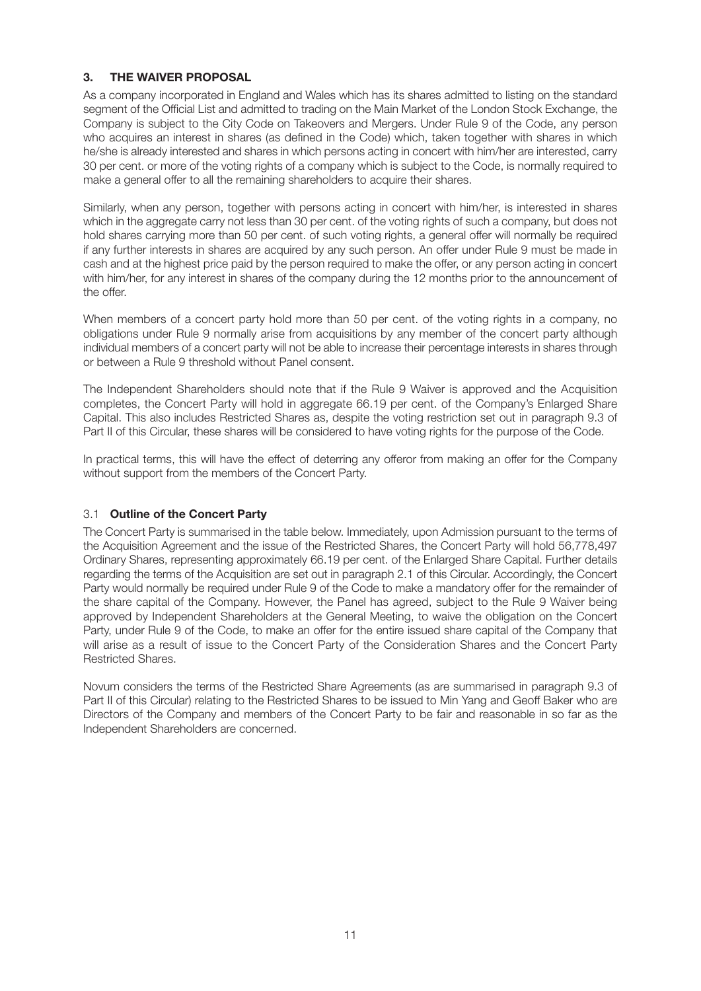## **3. THE WAIVER PROPOSAL**

As a company incorporated in England and Wales which has its shares admitted to listing on the standard segment of the Official List and admitted to trading on the Main Market of the London Stock Exchange, the Company is subject to the City Code on Takeovers and Mergers. Under Rule 9 of the Code, any person who acquires an interest in shares (as defined in the Code) which, taken together with shares in which he/she is already interested and shares in which persons acting in concert with him/her are interested, carry 30 per cent. or more of the voting rights of a company which is subject to the Code, is normally required to make a general offer to all the remaining shareholders to acquire their shares.

Similarly, when any person, together with persons acting in concert with him/her, is interested in shares which in the aggregate carry not less than 30 per cent. of the voting rights of such a company, but does not hold shares carrying more than 50 per cent. of such voting rights, a general offer will normally be required if any further interests in shares are acquired by any such person. An offer under Rule 9 must be made in cash and at the highest price paid by the person required to make the offer, or any person acting in concert with him/her, for any interest in shares of the company during the 12 months prior to the announcement of the offer.

When members of a concert party hold more than 50 per cent. of the voting rights in a company, no obligations under Rule 9 normally arise from acquisitions by any member of the concert party although individual members of a concert party will not be able to increase their percentage interests in shares through or between a Rule 9 threshold without Panel consent.

The Independent Shareholders should note that if the Rule 9 Waiver is approved and the Acquisition completes, the Concert Party will hold in aggregate 66.19 per cent. of the Company's Enlarged Share Capital. This also includes Restricted Shares as, despite the voting restriction set out in paragraph 9.3 of Part II of this Circular, these shares will be considered to have voting rights for the purpose of the Code.

In practical terms, this will have the effect of deterring any offeror from making an offer for the Company without support from the members of the Concert Party.

## 3.1 **Outline of the Concert Party**

The Concert Party is summarised in the table below. Immediately, upon Admission pursuant to the terms of the Acquisition Agreement and the issue of the Restricted Shares, the Concert Party will hold 56,778,497 Ordinary Shares, representing approximately 66.19 per cent. of the Enlarged Share Capital. Further details regarding the terms of the Acquisition are set out in paragraph 2.1 of this Circular. Accordingly, the Concert Party would normally be required under Rule 9 of the Code to make a mandatory offer for the remainder of the share capital of the Company. However, the Panel has agreed, subject to the Rule 9 Waiver being approved by Independent Shareholders at the General Meeting, to waive the obligation on the Concert Party, under Rule 9 of the Code, to make an offer for the entire issued share capital of the Company that will arise as a result of issue to the Concert Party of the Consideration Shares and the Concert Party Restricted Shares.

Novum considers the terms of the Restricted Share Agreements (as are summarised in paragraph 9.3 of Part II of this Circular) relating to the Restricted Shares to be issued to Min Yang and Geoff Baker who are Directors of the Company and members of the Concert Party to be fair and reasonable in so far as the Independent Shareholders are concerned.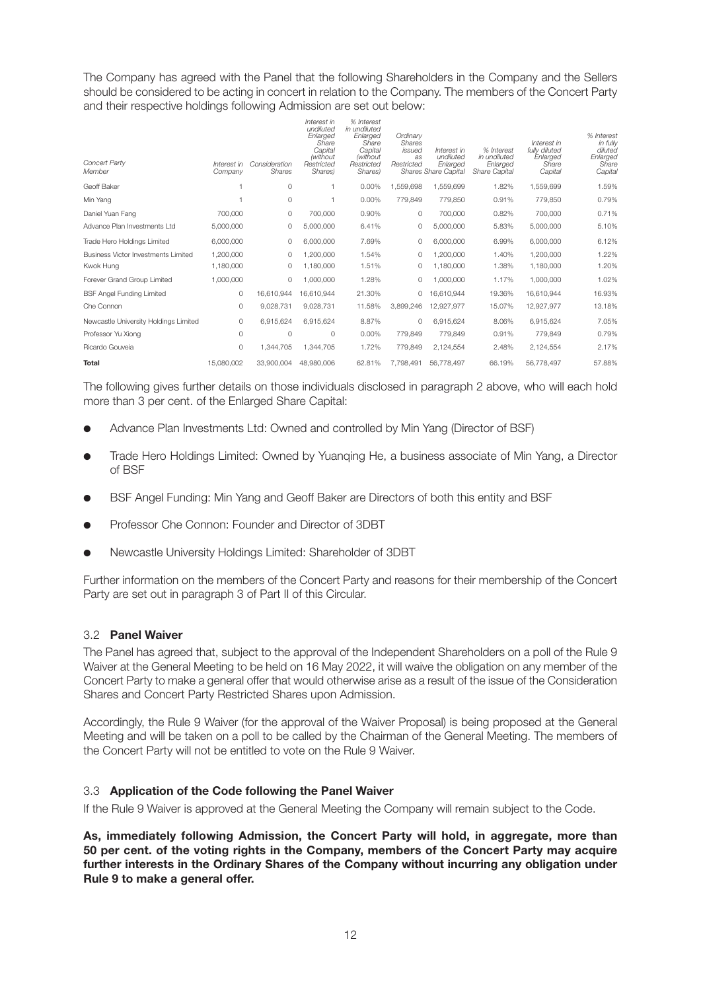The Company has agreed with the Panel that the following Shareholders in the Company and the Sellers should be considered to be acting in concert in relation to the Company. The members of the Concert Party and their respective holdings following Admission are set out below:

| Concert Party<br>Member               | Interest in<br>Company | Consideration<br>Shares | Interest in<br>undiluted<br>Enlarged<br>Share<br>Capital<br>(without<br>Restricted<br>Shares) | % Interest<br>in undiluted<br>Enlarged<br>Share<br>Capital<br><i>(without</i> )<br>Restricted<br>Shares) | Ordinarv<br><b>Shares</b><br>issued<br>as<br>Restricted | Interest in<br>undiluted<br>Enlarged<br>Shares Share Capital | % Interest<br>in undiluted<br>Enlarged<br><b>Share Capital</b> | Interest in<br>fully diluted<br>Enlarged<br>Share<br>Capital | % Interest<br>in fully<br>diluted<br>Enlarged<br>Share<br>Capital |
|---------------------------------------|------------------------|-------------------------|-----------------------------------------------------------------------------------------------|----------------------------------------------------------------------------------------------------------|---------------------------------------------------------|--------------------------------------------------------------|----------------------------------------------------------------|--------------------------------------------------------------|-------------------------------------------------------------------|
| Geoff Baker                           |                        | 0                       |                                                                                               | $0.00\%$                                                                                                 | 1,559,698                                               | 1,559,699                                                    | 1.82%                                                          | 1,559,699                                                    | 1.59%                                                             |
| Min Yang                              |                        | 0                       |                                                                                               | $0.00\%$                                                                                                 | 779,849                                                 | 779,850                                                      | 0.91%                                                          | 779,850                                                      | 0.79%                                                             |
| Daniel Yuan Fang                      | 700,000                | 0                       | 700,000                                                                                       | 0.90%                                                                                                    | $\circ$                                                 | 700,000                                                      | 0.82%                                                          | 700,000                                                      | 0.71%                                                             |
| Advance Plan Investments Ltd          | 5,000,000              | 0                       | 5,000,000                                                                                     | 6.41%                                                                                                    | 0                                                       | 5,000,000                                                    | 5.83%                                                          | 5,000,000                                                    | 5.10%                                                             |
| Trade Hero Holdings Limited           | 6,000,000              | 0                       | 6,000,000                                                                                     | 7.69%                                                                                                    | 0                                                       | 6,000,000                                                    | 6.99%                                                          | 6,000,000                                                    | 6.12%                                                             |
| Business Victor Investments Limited   | 1.200.000              | $\Omega$                | 1,200,000                                                                                     | 1.54%                                                                                                    | $\Omega$                                                | 1,200,000                                                    | 1.40%                                                          | 1,200,000                                                    | 1.22%                                                             |
| Kwok Hung                             | 1,180,000              | 0                       | 1,180,000                                                                                     | 1.51%                                                                                                    | 0                                                       | 1,180,000                                                    | 1.38%                                                          | 1,180,000                                                    | 1.20%                                                             |
| Forever Grand Group Limited           | 1,000,000              | 0                       | 1.000.000                                                                                     | 1.28%                                                                                                    | 0                                                       | 1,000,000                                                    | 1.17%                                                          | 1,000,000                                                    | 1.02%                                                             |
| <b>BSF Angel Funding Limited</b>      | 0                      | 16,610,944              | 16.610.944                                                                                    | 21.30%                                                                                                   | 0                                                       | 16,610,944                                                   | 19.36%                                                         | 16,610,944                                                   | 16.93%                                                            |
| Che Connon                            | 0                      | 9,028,731               | 9,028,731                                                                                     | 11.58%                                                                                                   | 3,899,246                                               | 12,927,977                                                   | 15.07%                                                         | 12,927,977                                                   | 13.18%                                                            |
| Newcastle University Holdings Limited | 0                      | 6,915,624               | 6,915,624                                                                                     | 8.87%                                                                                                    | $\circ$                                                 | 6,915,624                                                    | 8.06%                                                          | 6,915,624                                                    | 7.05%                                                             |
| Professor Yu Xiong                    | 0                      | $\circ$                 | 0                                                                                             | 0.00%                                                                                                    | 779.849                                                 | 779,849                                                      | 0.91%                                                          | 779,849                                                      | 0.79%                                                             |
| Ricardo Gouveia                       | 0                      | 1,344,705               | 1,344,705                                                                                     | 1.72%                                                                                                    | 779.849                                                 | 2,124,554                                                    | 2.48%                                                          | 2,124,554                                                    | 2.17%                                                             |
| <b>Total</b>                          | 15,080,002             | 33,900,004              | 48,980,006                                                                                    | 62.81%                                                                                                   | 7.798.491                                               | 56,778,497                                                   | 66.19%                                                         | 56.778.497                                                   | 57.88%                                                            |

The following gives further details on those individuals disclosed in paragraph 2 above, who will each hold more than 3 per cent. of the Enlarged Share Capital:

- Advance Plan Investments Ltd: Owned and controlled by Min Yang (Director of BSF)
- l Trade Hero Holdings Limited: Owned by Yuanqing He, a business associate of Min Yang, a Director of BSF
- **BILE Angel Funding: Min Yang and Geoff Baker are Directors of both this entity and BSF**
- l Professor Che Connon: Founder and Director of 3DBT
- l Newcastle University Holdings Limited: Shareholder of 3DBT

Further information on the members of the Concert Party and reasons for their membership of the Concert Party are set out in paragraph 3 of Part II of this Circular.

#### 3.2 **Panel Waiver**

The Panel has agreed that, subject to the approval of the Independent Shareholders on a poll of the Rule 9 Waiver at the General Meeting to be held on 16 May 2022, it will waive the obligation on any member of the Concert Party to make a general offer that would otherwise arise as a result of the issue of the Consideration Shares and Concert Party Restricted Shares upon Admission.

Accordingly, the Rule 9 Waiver (for the approval of the Waiver Proposal) is being proposed at the General Meeting and will be taken on a poll to be called by the Chairman of the General Meeting. The members of the Concert Party will not be entitled to vote on the Rule 9 Waiver.

#### 3.3 **Application of the Code following the Panel Waiver**

If the Rule 9 Waiver is approved at the General Meeting the Company will remain subject to the Code.

**As, immediately following Admission, the Concert Party will hold, in aggregate, more than 50 per cent. of the voting rights in the Company, members of the Concert Party may acquire further interests in the Ordinary Shares of the Company without incurring any obligation under Rule 9 to make a general offer.**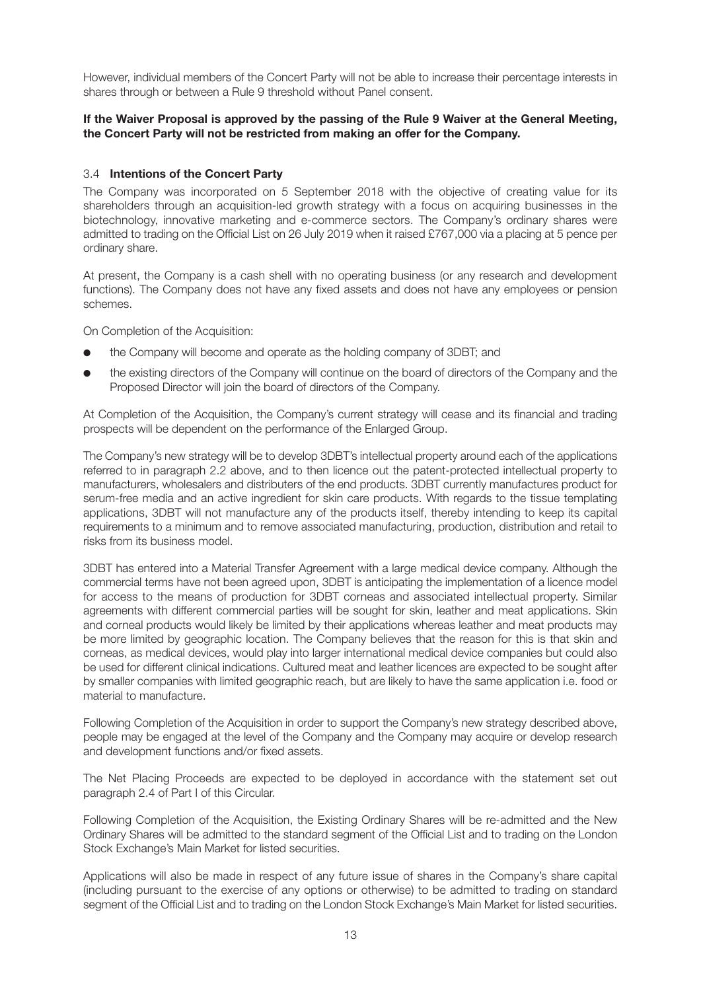However, individual members of the Concert Party will not be able to increase their percentage interests in shares through or between a Rule 9 threshold without Panel consent.

#### **If the Waiver Proposal is approved by the passing of the Rule 9 Waiver at the General Meeting, the Concert Party will not be restricted from making an offer for the Company.**

#### 3.4 **Intentions of the Concert Party**

The Company was incorporated on 5 September 2018 with the objective of creating value for its shareholders through an acquisition-led growth strategy with a focus on acquiring businesses in the biotechnology, innovative marketing and e-commerce sectors. The Company's ordinary shares were admitted to trading on the Official List on 26 July 2019 when it raised £767,000 via a placing at 5 pence per ordinary share.

At present, the Company is a cash shell with no operating business (or any research and development functions). The Company does not have any fixed assets and does not have any employees or pension schemes.

On Completion of the Acquisition:

- the Company will become and operate as the holding company of 3DBT; and
- l the existing directors of the Company will continue on the board of directors of the Company and the Proposed Director will join the board of directors of the Company.

At Completion of the Acquisition, the Company's current strategy will cease and its financial and trading prospects will be dependent on the performance of the Enlarged Group.

The Company's new strategy will be to develop 3DBT's intellectual property around each of the applications referred to in paragraph 2.2 above, and to then licence out the patent-protected intellectual property to manufacturers, wholesalers and distributers of the end products. 3DBT currently manufactures product for serum-free media and an active ingredient for skin care products. With regards to the tissue templating applications, 3DBT will not manufacture any of the products itself, thereby intending to keep its capital requirements to a minimum and to remove associated manufacturing, production, distribution and retail to risks from its business model.

3DBT has entered into a Material Transfer Agreement with a large medical device company. Although the commercial terms have not been agreed upon, 3DBT is anticipating the implementation of a licence model for access to the means of production for 3DBT corneas and associated intellectual property. Similar agreements with different commercial parties will be sought for skin, leather and meat applications. Skin and corneal products would likely be limited by their applications whereas leather and meat products may be more limited by geographic location. The Company believes that the reason for this is that skin and corneas, as medical devices, would play into larger international medical device companies but could also be used for different clinical indications. Cultured meat and leather licences are expected to be sought after by smaller companies with limited geographic reach, but are likely to have the same application i.e. food or material to manufacture.

Following Completion of the Acquisition in order to support the Company's new strategy described above, people may be engaged at the level of the Company and the Company may acquire or develop research and development functions and/or fixed assets.

The Net Placing Proceeds are expected to be deployed in accordance with the statement set out paragraph 2.4 of Part I of this Circular.

Following Completion of the Acquisition, the Existing Ordinary Shares will be re-admitted and the New Ordinary Shares will be admitted to the standard segment of the Official List and to trading on the London Stock Exchange's Main Market for listed securities.

Applications will also be made in respect of any future issue of shares in the Company's share capital (including pursuant to the exercise of any options or otherwise) to be admitted to trading on standard segment of the Official List and to trading on the London Stock Exchange's Main Market for listed securities.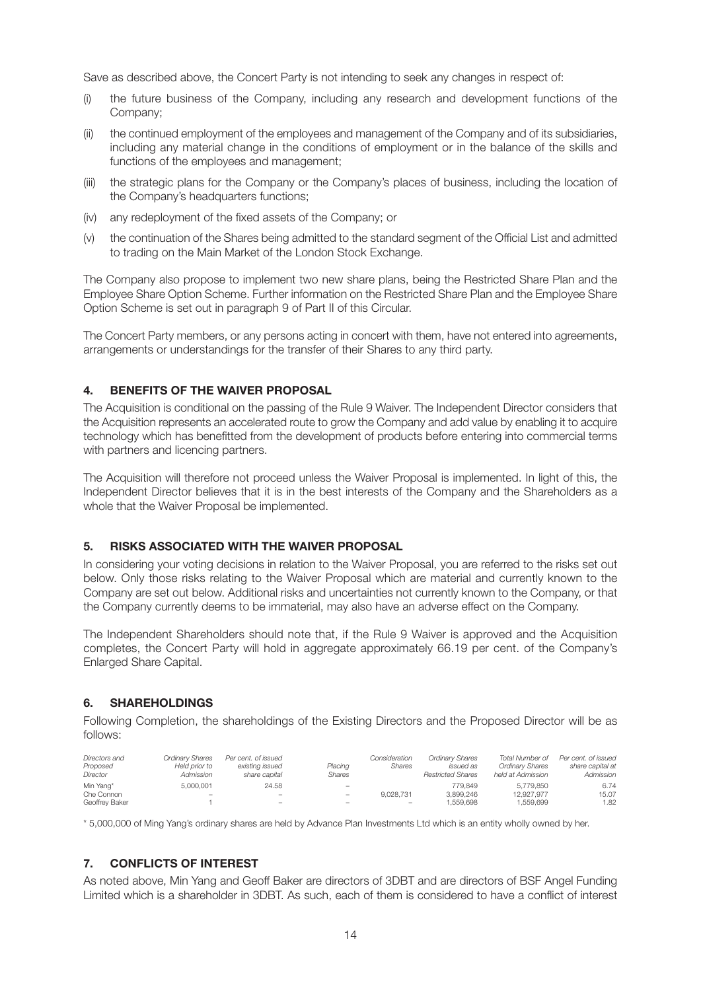Save as described above, the Concert Party is not intending to seek any changes in respect of:

- (i) the future business of the Company, including any research and development functions of the Company;
- (ii) the continued employment of the employees and management of the Company and of its subsidiaries, including any material change in the conditions of employment or in the balance of the skills and functions of the employees and management;
- (iii) the strategic plans for the Company or the Company's places of business, including the location of the Company's headquarters functions;
- (iv) any redeployment of the fixed assets of the Company; or
- (v) the continuation of the Shares being admitted to the standard segment of the Official List and admitted to trading on the Main Market of the London Stock Exchange.

The Company also propose to implement two new share plans, being the Restricted Share Plan and the Employee Share Option Scheme. Further information on the Restricted Share Plan and the Employee Share Option Scheme is set out in paragraph 9 of Part II of this Circular.

The Concert Party members, or any persons acting in concert with them, have not entered into agreements, arrangements or understandings for the transfer of their Shares to any third party.

#### **4. BENEFITS OF THE WAIVER PROPOSAL**

The Acquisition is conditional on the passing of the Rule 9 Waiver. The Independent Director considers that the Acquisition represents an accelerated route to grow the Company and add value by enabling it to acquire technology which has benefitted from the development of products before entering into commercial terms with partners and licencing partners.

The Acquisition will therefore not proceed unless the Waiver Proposal is implemented. In light of this, the Independent Director believes that it is in the best interests of the Company and the Shareholders as a whole that the Waiver Proposal be implemented.

#### **5. RISKS ASSOCIATED WITH THE WAIVER PROPOSAL**

In considering your voting decisions in relation to the Waiver Proposal, you are referred to the risks set out below. Only those risks relating to the Waiver Proposal which are material and currently known to the Company are set out below. Additional risks and uncertainties not currently known to the Company, or that the Company currently deems to be immaterial, may also have an adverse effect on the Company.

The Independent Shareholders should note that, if the Rule 9 Waiver is approved and the Acquisition completes, the Concert Party will hold in aggregate approximately 66.19 per cent. of the Company's Enlarged Share Capital.

#### **6. SHAREHOLDINGS**

Following Completion, the shareholdings of the Existing Directors and the Proposed Director will be as follows:

| Directors and<br>Proposed<br>Director | Ordinarv Shares<br>Held prior to<br>Admission | Per cent, of issued<br>existing issued<br>share capital | Placing<br>Shares        | Consideration<br>Shares  | <b>Ordinary Shares</b><br>issued as<br><b>Restricted Shares</b> | Total Number of<br><b>Ordinary Shares</b><br>held at Admission | Per cent, of issued<br>share capital at<br>Admission |
|---------------------------------------|-----------------------------------------------|---------------------------------------------------------|--------------------------|--------------------------|-----------------------------------------------------------------|----------------------------------------------------------------|------------------------------------------------------|
| Min Yang*                             | 5.000.001                                     | 24.58                                                   | $-$                      |                          | 779.849                                                         | 5.779.850                                                      | 6.74                                                 |
| Che Connon                            | -                                             | -                                                       | $\overline{\phantom{0}}$ | 9.028.731                | 3.899.246                                                       | 12.927.977                                                     | 15.07                                                |
| Geoffrey Baker                        |                                               | -                                                       |                          | $\overline{\phantom{0}}$ | .559.698                                                        | 1.559.699                                                      | 1.82                                                 |

\* 5,000,000 of Ming Yang's ordinary shares are held by Advance Plan Investments Ltd which is an entity wholly owned by her.

#### **7. CONFLICTS OF INTEREST**

As noted above, Min Yang and Geoff Baker are directors of 3DBT and are directors of BSF Angel Funding Limited which is a shareholder in 3DBT. As such, each of them is considered to have a conflict of interest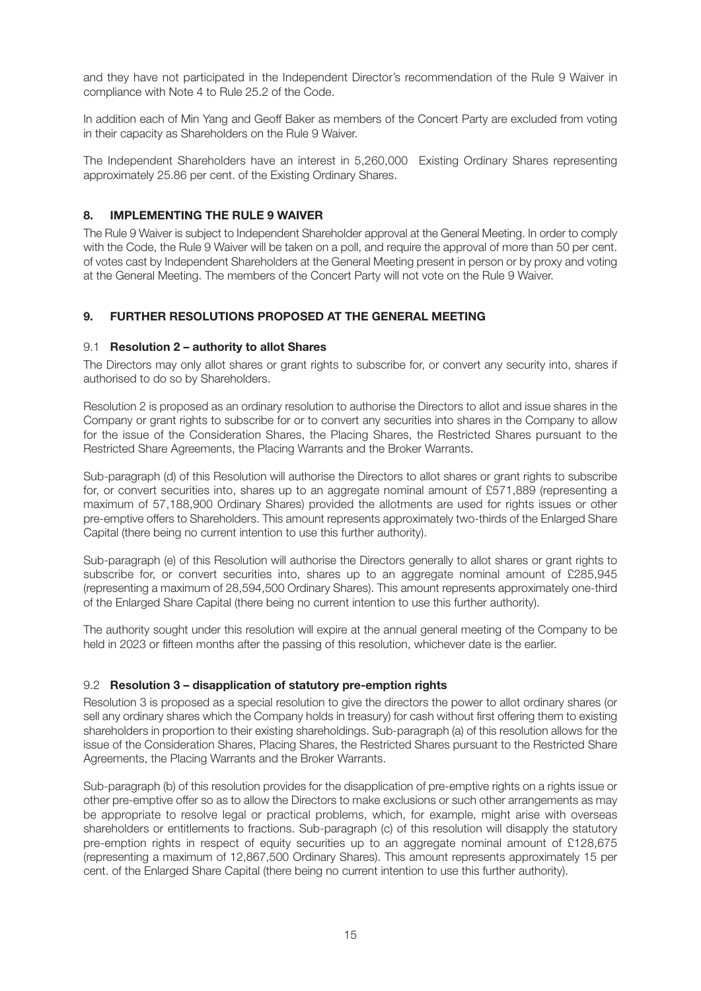and they have not participated in the Independent Director's recommendation of the Rule 9 Waiver in compliance with Note 4 to Rule 25.2 of the Code.

In addition each of Min Yang and Geoff Baker as members of the Concert Party are excluded from voting in their capacity as Shareholders on the Rule 9 Waiver.

The Independent Shareholders have an interest in 5,260,000 Existing Ordinary Shares representing approximately 25.86 per cent. of the Existing Ordinary Shares.

### **8. IMPLEMENTING THE RULE 9 WAIVER**

The Rule 9 Waiver is subject to Independent Shareholder approval at the General Meeting. In order to comply with the Code, the Rule 9 Waiver will be taken on a poll, and require the approval of more than 50 per cent. of votes cast by Independent Shareholders at the General Meeting present in person or by proxy and voting at the General Meeting. The members of the Concert Party will not vote on the Rule 9 Waiver.

## **9. FURTHER RESOLUTIONS PROPOSED AT THE GENERAL MEETING**

#### 9.1 **Resolution 2 – authority to allot Shares**

The Directors may only allot shares or grant rights to subscribe for, or convert any security into, shares if authorised to do so by Shareholders.

Resolution 2 is proposed as an ordinary resolution to authorise the Directors to allot and issue shares in the Company or grant rights to subscribe for or to convert any securities into shares in the Company to allow for the issue of the Consideration Shares, the Placing Shares, the Restricted Shares pursuant to the Restricted Share Agreements, the Placing Warrants and the Broker Warrants.

Sub-paragraph (d) of this Resolution will authorise the Directors to allot shares or grant rights to subscribe for, or convert securities into, shares up to an aggregate nominal amount of £571,889 (representing a maximum of 57,188,900 Ordinary Shares) provided the allotments are used for rights issues or other pre-emptive offers to Shareholders. This amount represents approximately two-thirds of the Enlarged Share Capital (there being no current intention to use this further authority).

Sub-paragraph (e) of this Resolution will authorise the Directors generally to allot shares or grant rights to subscribe for, or convert securities into, shares up to an aggregate nominal amount of £285,945 (representing a maximum of 28,594,500 Ordinary Shares). This amount represents approximately one-third of the Enlarged Share Capital (there being no current intention to use this further authority).

The authority sought under this resolution will expire at the annual general meeting of the Company to be held in 2023 or fifteen months after the passing of this resolution, whichever date is the earlier.

#### 9.2 **Resolution 3 – disapplication of statutory pre-emption rights**

Resolution 3 is proposed as a special resolution to give the directors the power to allot ordinary shares (or sell any ordinary shares which the Company holds in treasury) for cash without first offering them to existing shareholders in proportion to their existing shareholdings. Sub-paragraph (a) of this resolution allows for the issue of the Consideration Shares, Placing Shares, the Restricted Shares pursuant to the Restricted Share Agreements, the Placing Warrants and the Broker Warrants.

Sub-paragraph (b) of this resolution provides for the disapplication of pre-emptive rights on a rights issue or other pre-emptive offer so as to allow the Directors to make exclusions or such other arrangements as may be appropriate to resolve legal or practical problems, which, for example, might arise with overseas shareholders or entitlements to fractions. Sub-paragraph (c) of this resolution will disapply the statutory pre-emption rights in respect of equity securities up to an aggregate nominal amount of £128,675 (representing a maximum of 12,867,500 Ordinary Shares). This amount represents approximately 15 per cent. of the Enlarged Share Capital (there being no current intention to use this further authority).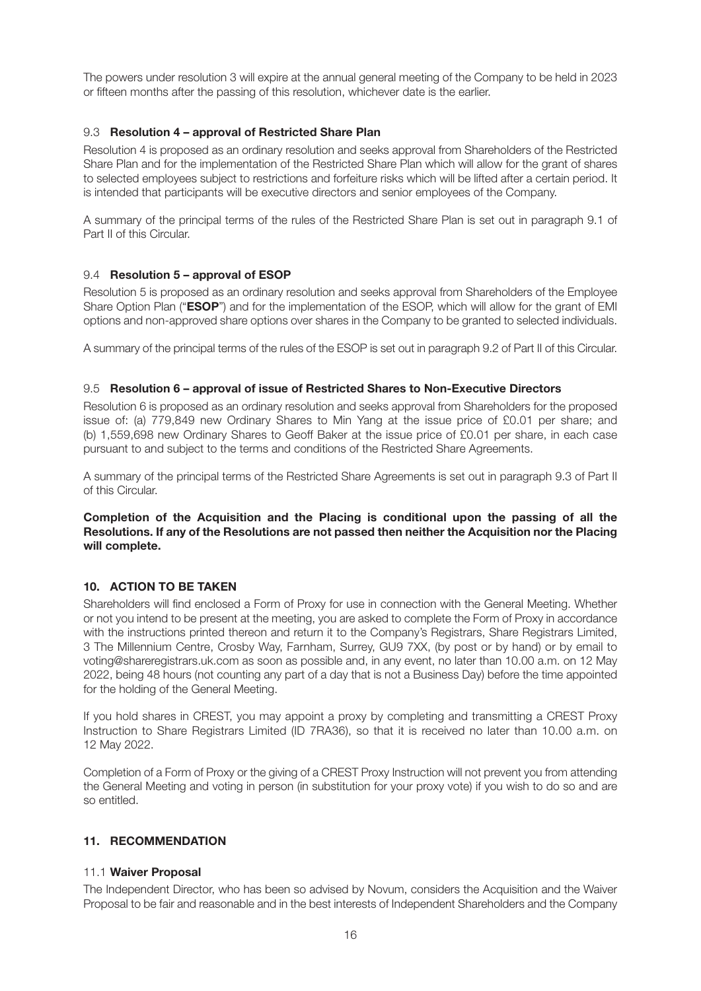The powers under resolution 3 will expire at the annual general meeting of the Company to be held in 2023 or fifteen months after the passing of this resolution, whichever date is the earlier.

#### 9.3 **Resolution 4 – approval of Restricted Share Plan**

Resolution 4 is proposed as an ordinary resolution and seeks approval from Shareholders of the Restricted Share Plan and for the implementation of the Restricted Share Plan which will allow for the grant of shares to selected employees subject to restrictions and forfeiture risks which will be lifted after a certain period. It is intended that participants will be executive directors and senior employees of the Company.

A summary of the principal terms of the rules of the Restricted Share Plan is set out in paragraph 9.1 of Part II of this Circular.

#### 9.4 **Resolution 5 – approval of ESOP**

Resolution 5 is proposed as an ordinary resolution and seeks approval from Shareholders of the Employee Share Option Plan ("**ESOP**") and for the implementation of the ESOP, which will allow for the grant of EMI options and non-approved share options over shares in the Company to be granted to selected individuals.

A summary of the principal terms of the rules of the ESOP is set out in paragraph 9.2 of Part II of this Circular.

#### 9.5 **Resolution 6 – approval of issue of Restricted Shares to Non-Executive Directors**

Resolution 6 is proposed as an ordinary resolution and seeks approval from Shareholders for the proposed issue of: (a) 779,849 new Ordinary Shares to Min Yang at the issue price of £0.01 per share; and (b) 1,559,698 new Ordinary Shares to Geoff Baker at the issue price of £0.01 per share, in each case pursuant to and subject to the terms and conditions of the Restricted Share Agreements.

A summary of the principal terms of the Restricted Share Agreements is set out in paragraph 9.3 of Part II of this Circular.

#### **Completion of the Acquisition and the Placing is conditional upon the passing of all the Resolutions. If any of the Resolutions are not passed then neither the Acquisition nor the Placing will complete.**

#### **10. ACTION TO BE TAKEN**

Shareholders will find enclosed a Form of Proxy for use in connection with the General Meeting. Whether or not you intend to be present at the meeting, you are asked to complete the Form of Proxy in accordance with the instructions printed thereon and return it to the Company's Registrars, Share Registrars Limited, 3 The Millennium Centre, Crosby Way, Farnham, Surrey, GU9 7XX, (by post or by hand) or by email to voting@shareregistrars.uk.com as soon as possible and, in any event, no later than 10.00 a.m. on 12 May 2022, being 48 hours (not counting any part of a day that is not a Business Day) before the time appointed for the holding of the General Meeting.

If you hold shares in CREST, you may appoint a proxy by completing and transmitting a CREST Proxy Instruction to Share Registrars Limited (ID 7RA36), so that it is received no later than 10.00 a.m. on 12 May 2022.

Completion of a Form of Proxy or the giving of a CREST Proxy Instruction will not prevent you from attending the General Meeting and voting in person (in substitution for your proxy vote) if you wish to do so and are so entitled.

#### **11. RECOMMENDATION**

#### 11.1 **Waiver Proposal**

The Independent Director, who has been so advised by Novum, considers the Acquisition and the Waiver Proposal to be fair and reasonable and in the best interests of Independent Shareholders and the Company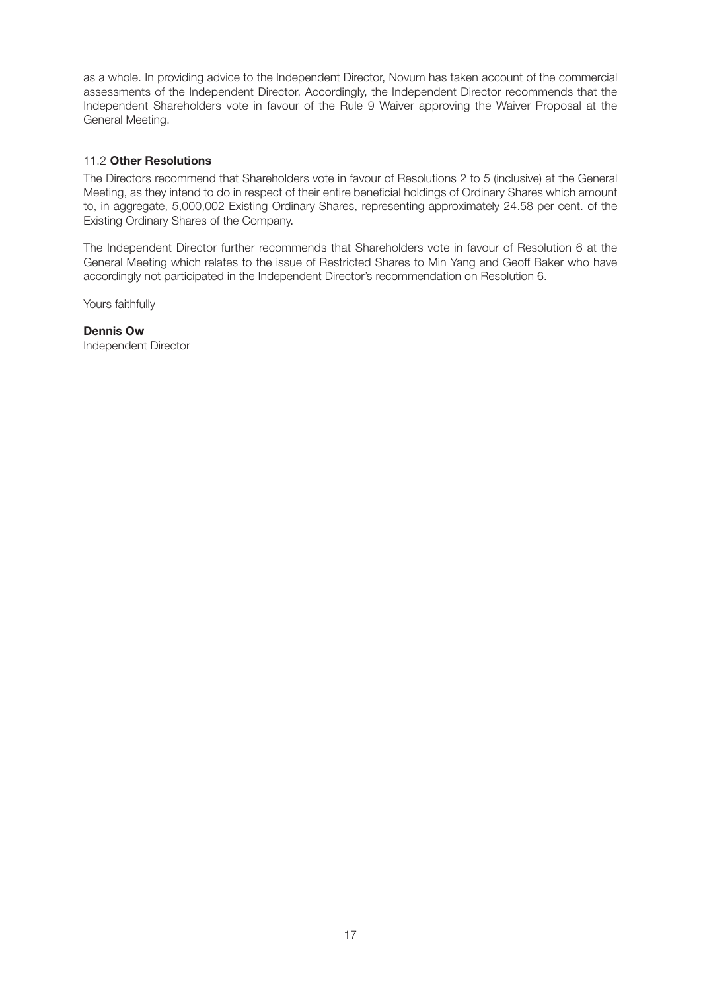as a whole. In providing advice to the Independent Director, Novum has taken account of the commercial assessments of the Independent Director. Accordingly, the Independent Director recommends that the Independent Shareholders vote in favour of the Rule 9 Waiver approving the Waiver Proposal at the General Meeting.

### 11.2 **Other Resolutions**

The Directors recommend that Shareholders vote in favour of Resolutions 2 to 5 (inclusive) at the General Meeting, as they intend to do in respect of their entire beneficial holdings of Ordinary Shares which amount to, in aggregate, 5,000,002 Existing Ordinary Shares, representing approximately 24.58 per cent. of the Existing Ordinary Shares of the Company.

The Independent Director further recommends that Shareholders vote in favour of Resolution 6 at the General Meeting which relates to the issue of Restricted Shares to Min Yang and Geoff Baker who have accordingly not participated in the Independent Director's recommendation on Resolution 6.

Yours faithfully

**Dennis Ow** Independent Director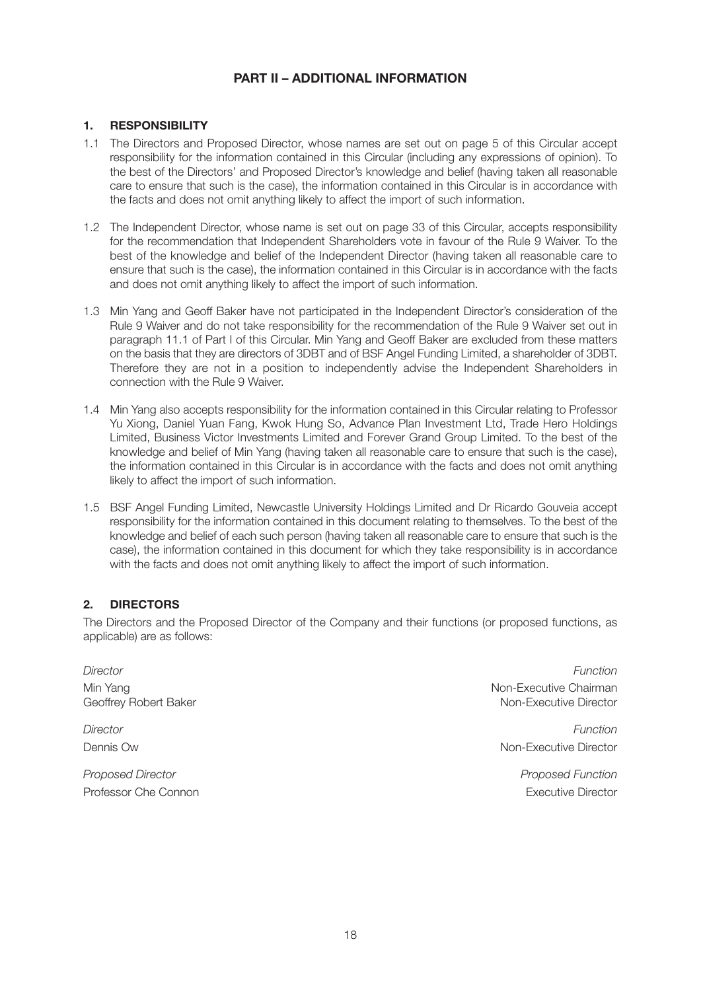## **PART II – ADDITIONAL INFORMATION**

## **1. RESPONSIBILITY**

- 1.1 The Directors and Proposed Director, whose names are set out on page 5 of this Circular accept responsibility for the information contained in this Circular (including any expressions of opinion). To the best of the Directors' and Proposed Director's knowledge and belief (having taken all reasonable care to ensure that such is the case), the information contained in this Circular is in accordance with the facts and does not omit anything likely to affect the import of such information.
- 1.2 The Independent Director, whose name is set out on page 33 of this Circular, accepts responsibility for the recommendation that Independent Shareholders vote in favour of the Rule 9 Waiver. To the best of the knowledge and belief of the Independent Director (having taken all reasonable care to ensure that such is the case), the information contained in this Circular is in accordance with the facts and does not omit anything likely to affect the import of such information.
- 1.3 Min Yang and Geoff Baker have not participated in the Independent Director's consideration of the Rule 9 Waiver and do not take responsibility for the recommendation of the Rule 9 Waiver set out in paragraph 11.1 of Part I of this Circular. Min Yang and Geoff Baker are excluded from these matters on the basis that they are directors of 3DBT and of BSF Angel Funding Limited, a shareholder of 3DBT. Therefore they are not in a position to independently advise the Independent Shareholders in connection with the Rule 9 Waiver.
- 1.4 Min Yang also accepts responsibility for the information contained in this Circular relating to Professor Yu Xiong, Daniel Yuan Fang, Kwok Hung So, Advance Plan Investment Ltd, Trade Hero Holdings Limited, Business Victor Investments Limited and Forever Grand Group Limited. To the best of the knowledge and belief of Min Yang (having taken all reasonable care to ensure that such is the case), the information contained in this Circular is in accordance with the facts and does not omit anything likely to affect the import of such information.
- 1.5 BSF Angel Funding Limited, Newcastle University Holdings Limited and Dr Ricardo Gouveia accept responsibility for the information contained in this document relating to themselves. To the best of the knowledge and belief of each such person (having taken all reasonable care to ensure that such is the case), the information contained in this document for which they take responsibility is in accordance with the facts and does not omit anything likely to affect the import of such information.

#### **2. DIRECTORS**

The Directors and the Proposed Director of the Company and their functions (or proposed functions, as applicable) are as follows:

Geoffrey Robert Baker

Proposed Director **Proposed Function** Professor Che Connon Executive Director

Director Function Min Yang<br>Geoffrey Robert Baker (Geoffrey Robert Baker) (Superior Schwarz (Superior Schwarz) (Non-Executive Chairman<br>Non-Executive Director

Director Function Dennis Ow Non-Executive Director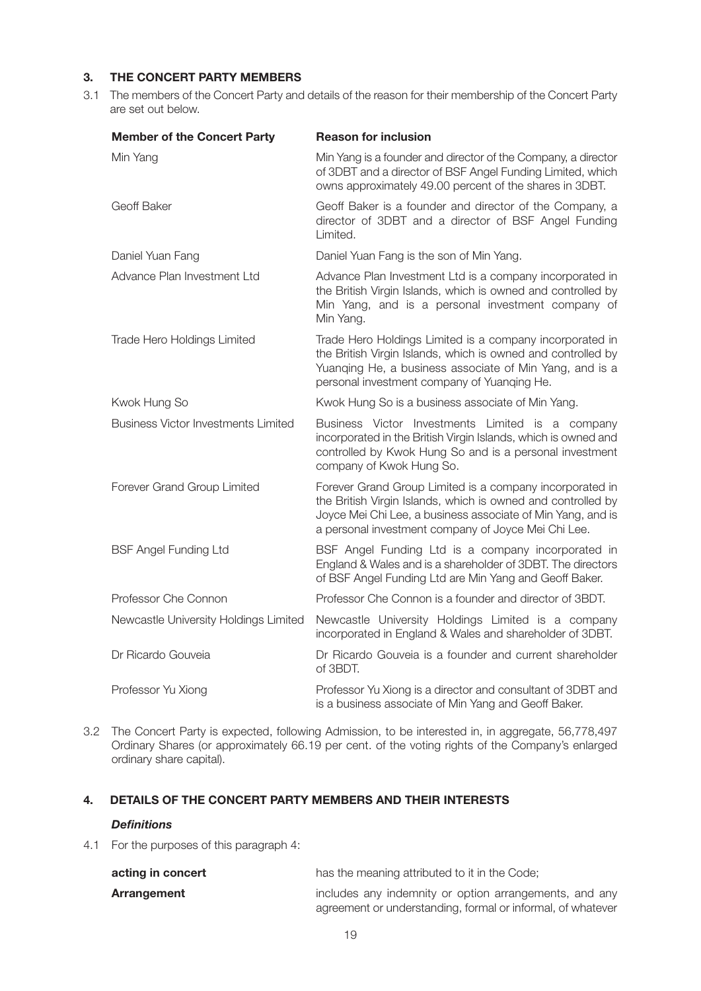## **3. THE CONCERT PARTY MEMBERS**

3.1 The members of the Concert Party and details of the reason for their membership of the Concert Party are set out below.

| <b>Member of the Concert Party</b>         | <b>Reason for inclusion</b>                                                                                                                                                                                                                    |
|--------------------------------------------|------------------------------------------------------------------------------------------------------------------------------------------------------------------------------------------------------------------------------------------------|
| Min Yang                                   | Min Yang is a founder and director of the Company, a director<br>of 3DBT and a director of BSF Angel Funding Limited, which<br>owns approximately 49.00 percent of the shares in 3DBT.                                                         |
| Geoff Baker                                | Geoff Baker is a founder and director of the Company, a<br>director of 3DBT and a director of BSF Angel Funding<br>Limited.                                                                                                                    |
| Daniel Yuan Fang                           | Daniel Yuan Fang is the son of Min Yang.                                                                                                                                                                                                       |
| Advance Plan Investment Ltd                | Advance Plan Investment Ltd is a company incorporated in<br>the British Virgin Islands, which is owned and controlled by<br>Min Yang, and is a personal investment company of<br>Min Yang.                                                     |
| Trade Hero Holdings Limited                | Trade Hero Holdings Limited is a company incorporated in<br>the British Virgin Islands, which is owned and controlled by<br>Yuanging He, a business associate of Min Yang, and is a<br>personal investment company of Yuanqing He.             |
| Kwok Hung So                               | Kwok Hung So is a business associate of Min Yang.                                                                                                                                                                                              |
| <b>Business Victor Investments Limited</b> | Business Victor Investments Limited is a company<br>incorporated in the British Virgin Islands, which is owned and<br>controlled by Kwok Hung So and is a personal investment<br>company of Kwok Hung So.                                      |
| Forever Grand Group Limited                | Forever Grand Group Limited is a company incorporated in<br>the British Virgin Islands, which is owned and controlled by<br>Joyce Mei Chi Lee, a business associate of Min Yang, and is<br>a personal investment company of Joyce Mei Chi Lee. |
| <b>BSF Angel Funding Ltd</b>               | BSF Angel Funding Ltd is a company incorporated in<br>England & Wales and is a shareholder of 3DBT. The directors<br>of BSF Angel Funding Ltd are Min Yang and Geoff Baker.                                                                    |
| Professor Che Connon                       | Professor Che Connon is a founder and director of 3BDT.                                                                                                                                                                                        |
| Newcastle University Holdings Limited      | Newcastle University Holdings Limited is a company<br>incorporated in England & Wales and shareholder of 3DBT.                                                                                                                                 |
| Dr Ricardo Gouveia                         | Dr Ricardo Gouveia is a founder and current shareholder<br>of 3BDT.                                                                                                                                                                            |
| Professor Yu Xiong                         | Professor Yu Xiong is a director and consultant of 3DBT and<br>is a business associate of Min Yang and Geoff Baker.                                                                                                                            |

3.2 The Concert Party is expected, following Admission, to be interested in, in aggregate, 56,778,497 Ordinary Shares (or approximately 66.19 per cent. of the voting rights of the Company's enlarged ordinary share capital).

#### **4. DETAILS OF THE CONCERT PARTY MEMBERS AND THEIR INTERESTS**

#### *Definitions*

4.1 For the purposes of this paragraph 4:

| acting in concert | has the meaning attributed to it in the Code;               |
|-------------------|-------------------------------------------------------------|
| Arrangement       | includes any indemnity or option arrangements, and any      |
|                   | agreement or understanding, formal or informal, of whatever |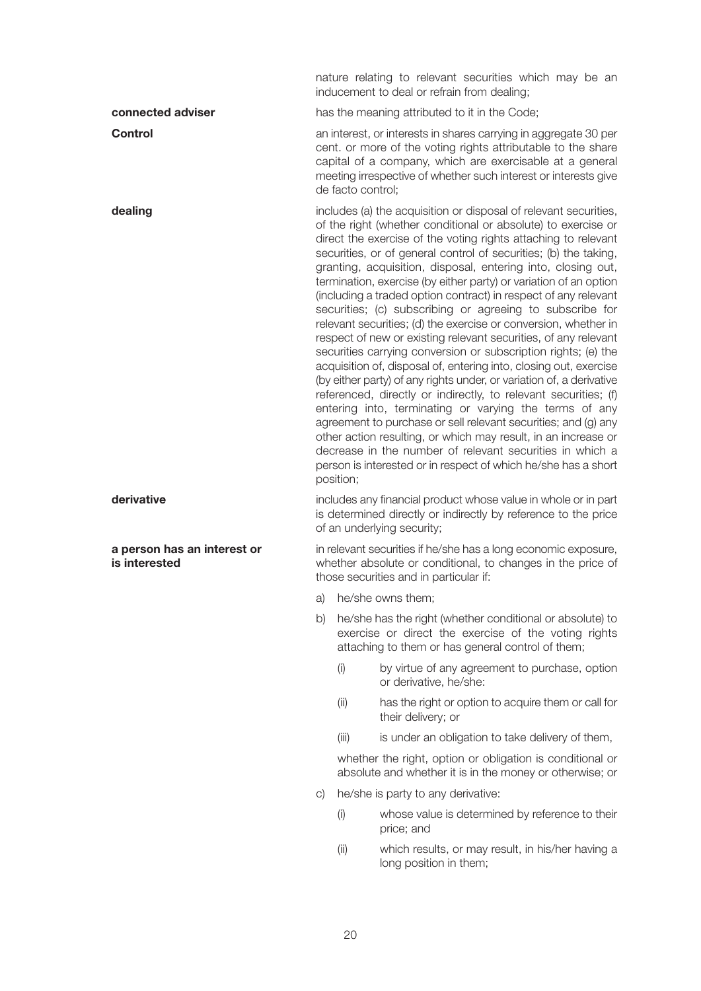nature relating to relevant securities which may be an inducement to deal or refrain from dealing;

**connected adviser has the meaning attributed to it in the Code: Control Control Control Exercise 20 per an interest, or interests in shares carrying in aggregate 30 per** cent. or more of the voting rights attributable to the share capital of a company, which are exercisable at a general meeting irrespective of whether such interest or interests give

de facto control;

**dealing** includes (a) the acquisition or disposal of relevant securities, of the right (whether conditional or absolute) to exercise or direct the exercise of the voting rights attaching to relevant securities, or of general control of securities; (b) the taking, granting, acquisition, disposal, entering into, closing out, termination, exercise (by either party) or variation of an option (including a traded option contract) in respect of any relevant securities; (c) subscribing or agreeing to subscribe for relevant securities; (d) the exercise or conversion, whether in respect of new or existing relevant securities, of any relevant securities carrying conversion or subscription rights; (e) the acquisition of, disposal of, entering into, closing out, exercise (by either party) of any rights under, or variation of, a derivative referenced, directly or indirectly, to relevant securities; (f) entering into, terminating or varying the terms of any agreement to purchase or sell relevant securities; and (g) any other action resulting, or which may result, in an increase or decrease in the number of relevant securities in which a person is interested or in respect of which he/she has a short position;

**derivative** includes any financial product whose value in whole or in part is determined directly or indirectly by reference to the price of an underlying security;

**a person has an interest or** in relevant securities if he/she has a long economic exposure, **is interested whether absolute or conditional, to changes in the price of** those securities and in particular if:

- a) he/she owns them;
- b) he/she has the right (whether conditional or absolute) to exercise or direct the exercise of the voting rights attaching to them or has general control of them;
	- (i) by virtue of any agreement to purchase, option or derivative, he/she:
	- (ii) has the right or option to acquire them or call for their delivery; or
	- (iii) is under an obligation to take delivery of them,

whether the right, option or obligation is conditional or absolute and whether it is in the money or otherwise; or

- c) he/she is party to any derivative:
	- (i) whose value is determined by reference to their price; and
	- (ii) which results, or may result, in his/her having a long position in them;

20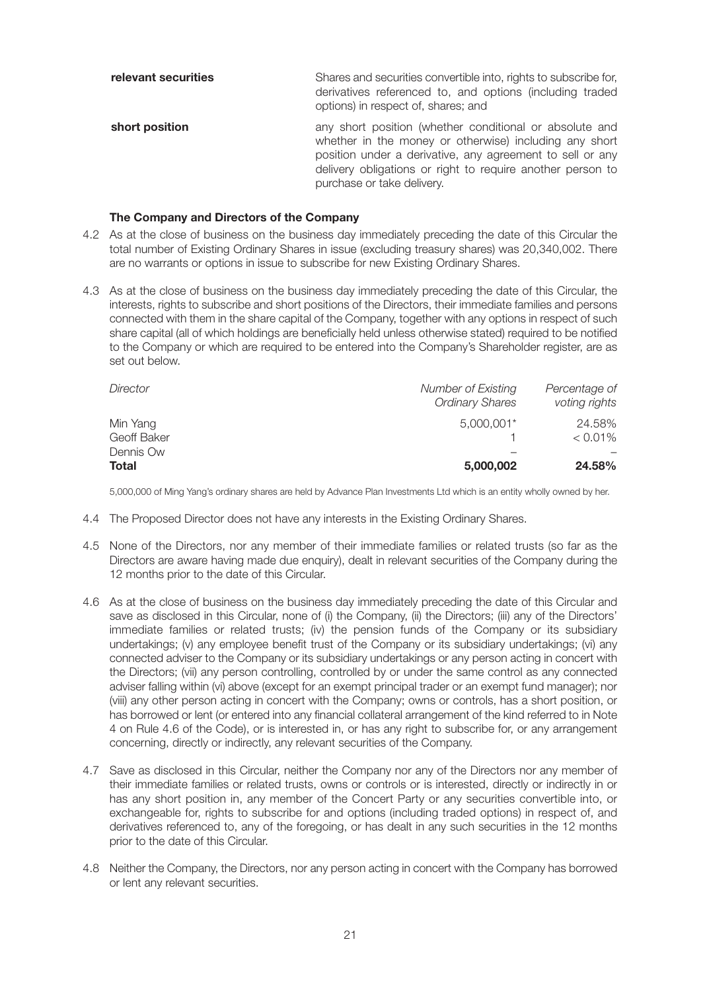| relevant securities | Shares and securities convertible into, rights to subscribe for,<br>derivatives referenced to, and options (including traded<br>options) in respect of, shares; and                                                                                                        |
|---------------------|----------------------------------------------------------------------------------------------------------------------------------------------------------------------------------------------------------------------------------------------------------------------------|
| short position      | any short position (whether conditional or absolute and<br>whether in the money or otherwise) including any short<br>position under a derivative, any agreement to sell or any<br>delivery obligations or right to require another person to<br>purchase or take delivery. |

#### **The Company and Directors of the Company**

- 4.2 As at the close of business on the business day immediately preceding the date of this Circular the total number of Existing Ordinary Shares in issue (excluding treasury shares) was 20,340,002. There are no warrants or options in issue to subscribe for new Existing Ordinary Shares.
- 4.3 As at the close of business on the business day immediately preceding the date of this Circular, the interests, rights to subscribe and short positions of the Directors, their immediate families and persons connected with them in the share capital of the Company, together with any options in respect of such share capital (all of which holdings are beneficially held unless otherwise stated) required to be notified to the Company or which are required to be entered into the Company's Shareholder register, are as set out below.

| Director                | <b>Number of Existing</b><br><b>Ordinary Shares</b> | Percentage of<br>voting rights |
|-------------------------|-----------------------------------------------------|--------------------------------|
| Min Yang<br>Geoff Baker | $5,000,001*$                                        | 24.58%<br>$< 0.01\%$           |
| Dennis Ow<br>Total      | 5,000,002                                           | 24.58%                         |

5,000,000 of Ming Yang's ordinary shares are held by Advance Plan Investments Ltd which is an entity wholly owned by her.

- 4.4 The Proposed Director does not have any interests in the Existing Ordinary Shares.
- 4.5 None of the Directors, nor any member of their immediate families or related trusts (so far as the Directors are aware having made due enquiry), dealt in relevant securities of the Company during the 12 months prior to the date of this Circular.
- 4.6 As at the close of business on the business day immediately preceding the date of this Circular and save as disclosed in this Circular, none of (i) the Company, (ii) the Directors; (iii) any of the Directors' immediate families or related trusts; (iv) the pension funds of the Company or its subsidiary undertakings; (v) any employee benefit trust of the Company or its subsidiary undertakings; (vi) any connected adviser to the Company or its subsidiary undertakings or any person acting in concert with the Directors; (vii) any person controlling, controlled by or under the same control as any connected adviser falling within (vi) above (except for an exempt principal trader or an exempt fund manager); nor (viii) any other person acting in concert with the Company; owns or controls, has a short position, or has borrowed or lent (or entered into any financial collateral arrangement of the kind referred to in Note 4 on Rule 4.6 of the Code), or is interested in, or has any right to subscribe for, or any arrangement concerning, directly or indirectly, any relevant securities of the Company.
- 4.7 Save as disclosed in this Circular, neither the Company nor any of the Directors nor any member of their immediate families or related trusts, owns or controls or is interested, directly or indirectly in or has any short position in, any member of the Concert Party or any securities convertible into, or exchangeable for, rights to subscribe for and options (including traded options) in respect of, and derivatives referenced to, any of the foregoing, or has dealt in any such securities in the 12 months prior to the date of this Circular.
- 4.8 Neither the Company, the Directors, nor any person acting in concert with the Company has borrowed or lent any relevant securities.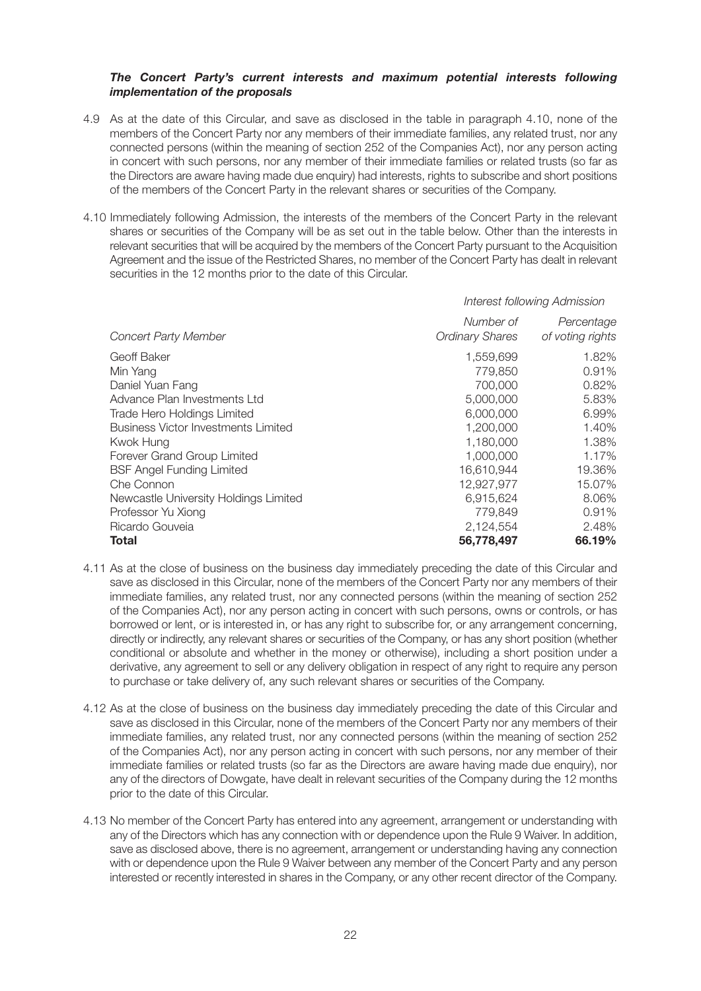#### *The Concert Party's current interests and maximum potential interests following implementation of the proposals*

- 4.9 As at the date of this Circular, and save as disclosed in the table in paragraph 4.10, none of the members of the Concert Party nor any members of their immediate families, any related trust, nor any connected persons (within the meaning of section 252 of the Companies Act), nor any person acting in concert with such persons, nor any member of their immediate families or related trusts (so far as the Directors are aware having made due enquiry) had interests, rights to subscribe and short positions of the members of the Concert Party in the relevant shares or securities of the Company.
- 4.10 Immediately following Admission, the interests of the members of the Concert Party in the relevant shares or securities of the Company will be as set out in the table below. Other than the interests in relevant securities that will be acquired by the members of the Concert Party pursuant to the Acquisition Agreement and the issue of the Restricted Shares, no member of the Concert Party has dealt in relevant securities in the 12 months prior to the date of this Circular.

|                                            | Interest following Admission        |                                |  |  |
|--------------------------------------------|-------------------------------------|--------------------------------|--|--|
| <b>Concert Party Member</b>                | Number of<br><b>Ordinary Shares</b> | Percentage<br>of voting rights |  |  |
| Geoff Baker                                | 1,559,699                           | 1.82%                          |  |  |
| Min Yang                                   | 779,850                             | 0.91%                          |  |  |
| Daniel Yuan Fang                           | 700,000                             | 0.82%                          |  |  |
| Advance Plan Investments Ltd               | 5,000,000                           | 5.83%                          |  |  |
| Trade Hero Holdings Limited                | 6,000,000                           | 6.99%                          |  |  |
| <b>Business Victor Investments Limited</b> | 1,200,000                           | 1.40%                          |  |  |
| Kwok Hung                                  | 1,180,000                           | 1.38%                          |  |  |
| Forever Grand Group Limited                | 1,000,000                           | 1.17%                          |  |  |
| <b>BSF Angel Funding Limited</b>           | 16,610,944                          | 19.36%                         |  |  |
| Che Connon                                 | 12,927,977                          | 15.07%                         |  |  |
| Newcastle University Holdings Limited      | 6,915,624                           | 8.06%                          |  |  |
| Professor Yu Xiong                         | 779,849                             | 0.91%                          |  |  |
| Ricardo Gouveia                            | 2,124,554                           | 2.48%                          |  |  |
| Total                                      | 56,778,497                          | 66.19%                         |  |  |

- 4.11 As at the close of business on the business day immediately preceding the date of this Circular and save as disclosed in this Circular, none of the members of the Concert Party nor any members of their immediate families, any related trust, nor any connected persons (within the meaning of section 252 of the Companies Act), nor any person acting in concert with such persons, owns or controls, or has borrowed or lent, or is interested in, or has any right to subscribe for, or any arrangement concerning, directly or indirectly, any relevant shares or securities of the Company, or has any short position (whether conditional or absolute and whether in the money or otherwise), including a short position under a derivative, any agreement to sell or any delivery obligation in respect of any right to require any person to purchase or take delivery of, any such relevant shares or securities of the Company.
- 4.12 As at the close of business on the business day immediately preceding the date of this Circular and save as disclosed in this Circular, none of the members of the Concert Party nor any members of their immediate families, any related trust, nor any connected persons (within the meaning of section 252 of the Companies Act), nor any person acting in concert with such persons, nor any member of their immediate families or related trusts (so far as the Directors are aware having made due enquiry), nor any of the directors of Dowgate, have dealt in relevant securities of the Company during the 12 months prior to the date of this Circular.
- 4.13 No member of the Concert Party has entered into any agreement, arrangement or understanding with any of the Directors which has any connection with or dependence upon the Rule 9 Waiver. In addition, save as disclosed above, there is no agreement, arrangement or understanding having any connection with or dependence upon the Rule 9 Waiver between any member of the Concert Party and any person interested or recently interested in shares in the Company, or any other recent director of the Company.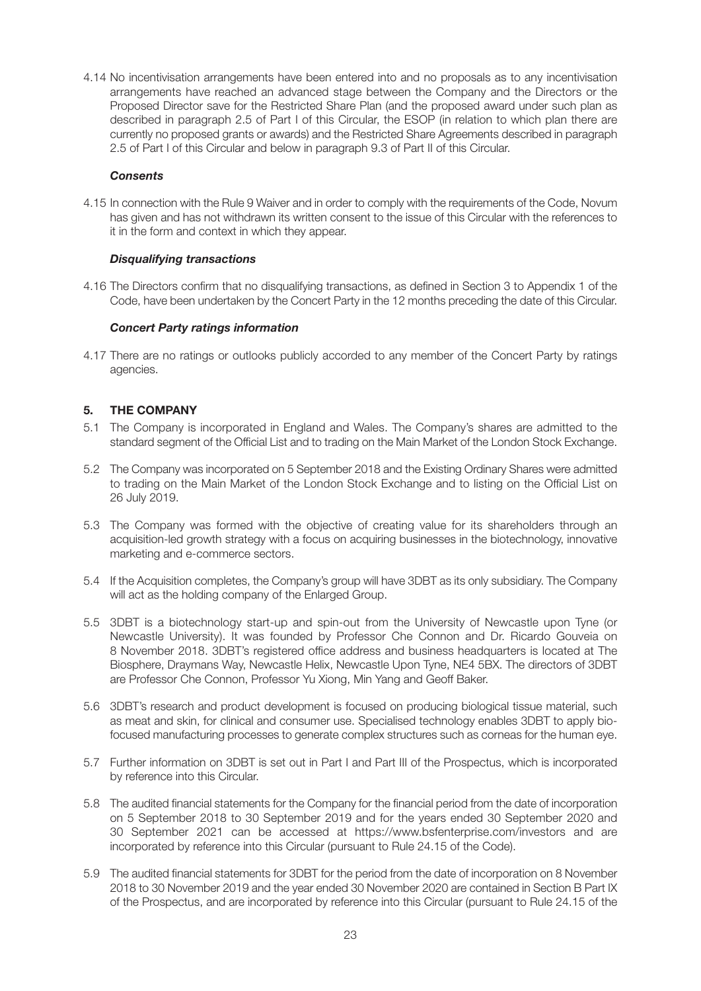4.14 No incentivisation arrangements have been entered into and no proposals as to any incentivisation arrangements have reached an advanced stage between the Company and the Directors or the Proposed Director save for the Restricted Share Plan (and the proposed award under such plan as described in paragraph 2.5 of Part I of this Circular, the ESOP (in relation to which plan there are currently no proposed grants or awards) and the Restricted Share Agreements described in paragraph 2.5 of Part I of this Circular and below in paragraph 9.3 of Part II of this Circular.

#### *Consents*

4.15 In connection with the Rule 9 Waiver and in order to comply with the requirements of the Code, Novum has given and has not withdrawn its written consent to the issue of this Circular with the references to it in the form and context in which they appear.

#### *Disqualifying transactions*

4.16 The Directors confirm that no disqualifying transactions, as defined in Section 3 to Appendix 1 of the Code, have been undertaken by the Concert Party in the 12 months preceding the date of this Circular.

#### *Concert Party ratings information*

4.17 There are no ratings or outlooks publicly accorded to any member of the Concert Party by ratings agencies.

## **5. THE COMPANY**

- 5.1 The Company is incorporated in England and Wales. The Company's shares are admitted to the standard segment of the Official List and to trading on the Main Market of the London Stock Exchange.
- 5.2 The Company was incorporated on 5 September 2018 and the Existing Ordinary Shares were admitted to trading on the Main Market of the London Stock Exchange and to listing on the Official List on 26 July 2019.
- 5.3 The Company was formed with the objective of creating value for its shareholders through an acquisition-led growth strategy with a focus on acquiring businesses in the biotechnology, innovative marketing and e-commerce sectors.
- 5.4 If the Acquisition completes, the Company's group will have 3DBT as its only subsidiary. The Company will act as the holding company of the Enlarged Group.
- 5.5 3DBT is a biotechnology start-up and spin-out from the University of Newcastle upon Tyne (or Newcastle University). It was founded by Professor Che Connon and Dr. Ricardo Gouveia on 8 November 2018. 3DBT's registered office address and business headquarters is located at The Biosphere, Draymans Way, Newcastle Helix, Newcastle Upon Tyne, NE4 5BX. The directors of 3DBT are Professor Che Connon, Professor Yu Xiong, Min Yang and Geoff Baker.
- 5.6 3DBT's research and product development is focused on producing biological tissue material, such as meat and skin, for clinical and consumer use. Specialised technology enables 3DBT to apply biofocused manufacturing processes to generate complex structures such as corneas for the human eye.
- 5.7 Further information on 3DBT is set out in Part I and Part III of the Prospectus, which is incorporated by reference into this Circular.
- 5.8 The audited financial statements for the Company for the financial period from the date of incorporation on 5 September 2018 to 30 September 2019 and for the years ended 30 September 2020 and 30 September 2021 can be accessed at https://www.bsfenterprise.com/investors and are incorporated by reference into this Circular (pursuant to Rule 24.15 of the Code).
- 5.9 The audited financial statements for 3DBT for the period from the date of incorporation on 8 November 2018 to 30 November 2019 and the year ended 30 November 2020 are contained in Section B Part IX of the Prospectus, and are incorporated by reference into this Circular (pursuant to Rule 24.15 of the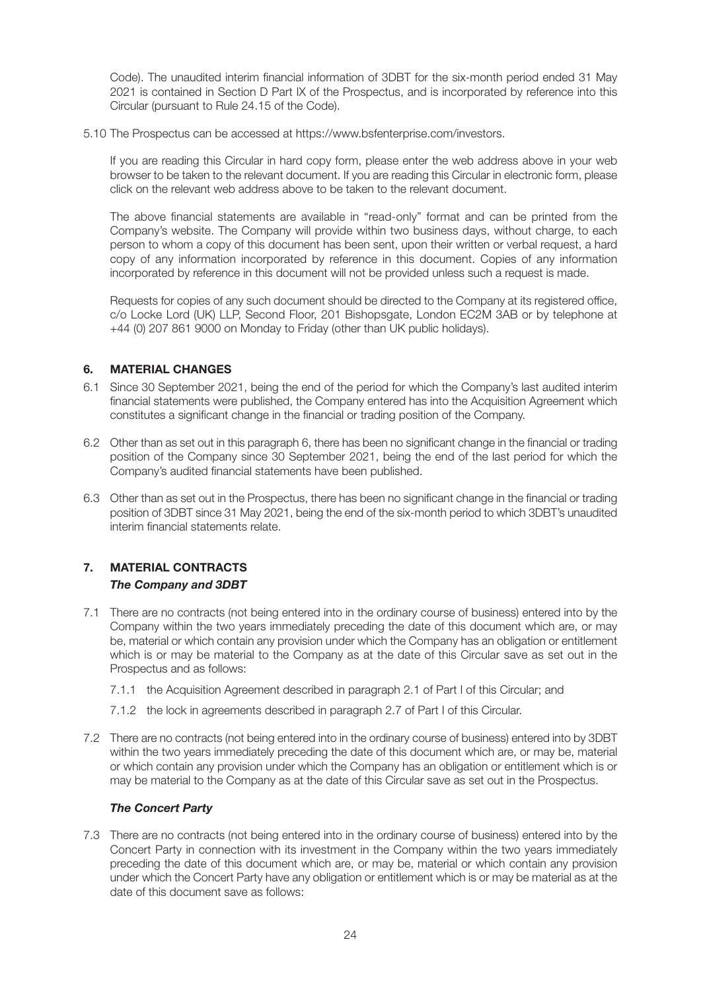Code). The unaudited interim financial information of 3DBT for the six-month period ended 31 May 2021 is contained in Section D Part IX of the Prospectus, and is incorporated by reference into this Circular (pursuant to Rule 24.15 of the Code).

5.10 The Prospectus can be accessed at https://www.bsfenterprise.com/investors.

If you are reading this Circular in hard copy form, please enter the web address above in your web browser to be taken to the relevant document. If you are reading this Circular in electronic form, please click on the relevant web address above to be taken to the relevant document.

The above financial statements are available in "read-only" format and can be printed from the Company's website. The Company will provide within two business days, without charge, to each person to whom a copy of this document has been sent, upon their written or verbal request, a hard copy of any information incorporated by reference in this document. Copies of any information incorporated by reference in this document will not be provided unless such a request is made.

Requests for copies of any such document should be directed to the Company at its registered office, c/o Locke Lord (UK) LLP, Second Floor, 201 Bishopsgate, London EC2M 3AB or by telephone at +44 (0) 207 861 9000 on Monday to Friday (other than UK public holidays).

## **6. MATERIAL CHANGES**

- 6.1 Since 30 September 2021, being the end of the period for which the Company's last audited interim financial statements were published, the Company entered has into the Acquisition Agreement which constitutes a significant change in the financial or trading position of the Company.
- 6.2 Other than as set out in this paragraph 6, there has been no significant change in the financial or trading position of the Company since 30 September 2021, being the end of the last period for which the Company's audited financial statements have been published.
- 6.3 Other than as set out in the Prospectus, there has been no significant change in the financial or trading position of 3DBT since 31 May 2021, being the end of the six-month period to which 3DBT's unaudited interim financial statements relate.

## **7. MATERIAL CONTRACTS** *The Company and 3DBT*

- 7.1 There are no contracts (not being entered into in the ordinary course of business) entered into by the Company within the two years immediately preceding the date of this document which are, or may be, material or which contain any provision under which the Company has an obligation or entitlement which is or may be material to the Company as at the date of this Circular save as set out in the Prospectus and as follows:
	- 7.1.1 the Acquisition Agreement described in paragraph 2.1 of Part I of this Circular; and
	- 7.1.2 the lock in agreements described in paragraph 2.7 of Part I of this Circular.
- 7.2 There are no contracts (not being entered into in the ordinary course of business) entered into by 3DBT within the two years immediately preceding the date of this document which are, or may be, material or which contain any provision under which the Company has an obligation or entitlement which is or may be material to the Company as at the date of this Circular save as set out in the Prospectus.

#### *The Concert Party*

7.3 There are no contracts (not being entered into in the ordinary course of business) entered into by the Concert Party in connection with its investment in the Company within the two years immediately preceding the date of this document which are, or may be, material or which contain any provision under which the Concert Party have any obligation or entitlement which is or may be material as at the date of this document save as follows: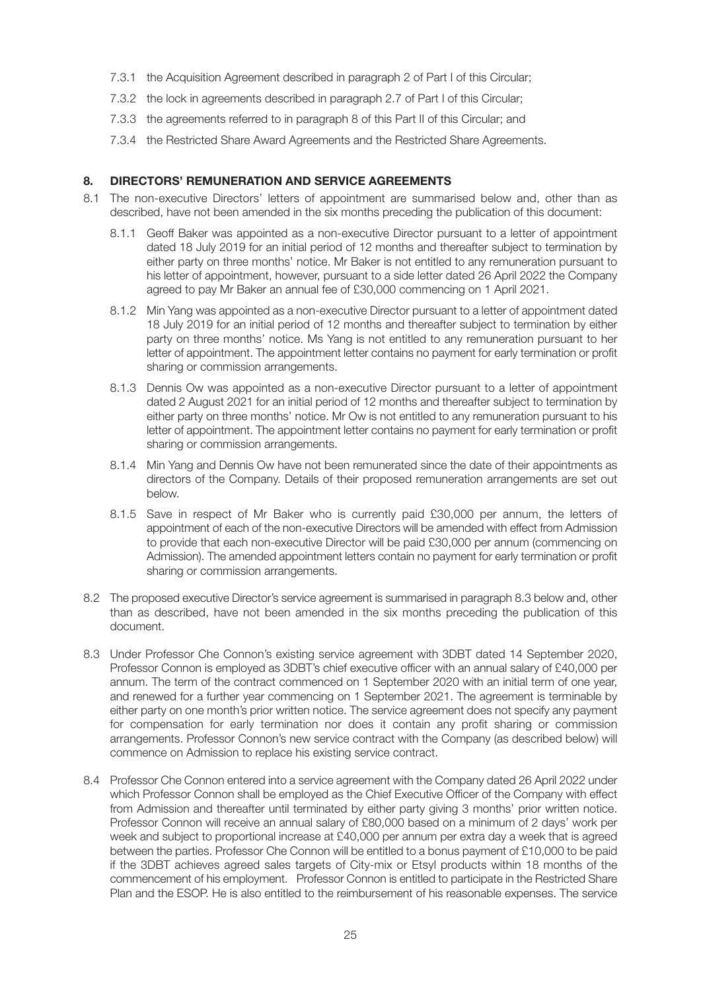- 7.3.1 the Acquisition Agreement described in paragraph 2 of Part I of this Circular;
- 7.3.2 the lock in agreements described in paragraph 2.7 of Part I of this Circular;
- 7.3.3 the agreements referred to in paragraph 8 of this Part II of this Circular; and
- 7.3.4 the Restricted Share Award Agreements and the Restricted Share Agreements.

#### **8. DIRECTORS' REMUNERATION AND SERVICE AGREEMENTS**

- 8.1 The non-executive Directors' letters of appointment are summarised below and, other than as described, have not been amended in the six months preceding the publication of this document:
	- 8.1.1 Geoff Baker was appointed as a non-executive Director pursuant to a letter of appointment dated 18 July 2019 for an initial period of 12 months and thereafter subject to termination by either party on three months' notice. Mr Baker is not entitled to any remuneration pursuant to his letter of appointment, however, pursuant to a side letter dated 26 April 2022 the Company agreed to pay Mr Baker an annual fee of £30,000 commencing on 1 April 2021.
	- 8.1.2 Min Yang was appointed as a non-executive Director pursuant to a letter of appointment dated 18 July 2019 for an initial period of 12 months and thereafter subject to termination by either party on three months' notice. Ms Yang is not entitled to any remuneration pursuant to her letter of appointment. The appointment letter contains no payment for early termination or profit sharing or commission arrangements.
	- 8.1.3 Dennis Ow was appointed as a non-executive Director pursuant to a letter of appointment dated 2 August 2021 for an initial period of 12 months and thereafter subject to termination by either party on three months' notice. Mr Ow is not entitled to any remuneration pursuant to his letter of appointment. The appointment letter contains no payment for early termination or profit sharing or commission arrangements.
	- 8.1.4 Min Yang and Dennis Ow have not been remunerated since the date of their appointments as directors of the Company. Details of their proposed remuneration arrangements are set out below.
	- 8.1.5 Save in respect of Mr Baker who is currently paid £30,000 per annum, the letters of appointment of each of the non-executive Directors will be amended with effect from Admission to provide that each non-executive Director will be paid £30,000 per annum (commencing on Admission). The amended appointment letters contain no payment for early termination or profit sharing or commission arrangements.
- 8.2 The proposed executive Director's service agreement is summarised in paragraph 8.3 below and, other than as described, have not been amended in the six months preceding the publication of this document.
- 8.3 Under Professor Che Connon's existing service agreement with 3DBT dated 14 September 2020, Professor Connon is employed as 3DBT's chief executive officer with an annual salary of £40,000 per annum. The term of the contract commenced on 1 September 2020 with an initial term of one year, and renewed for a further year commencing on 1 September 2021. The agreement is terminable by either party on one month's prior written notice. The service agreement does not specify any payment for compensation for early termination nor does it contain any profit sharing or commission arrangements. Professor Connon's new service contract with the Company (as described below) will commence on Admission to replace his existing service contract.
- 8.4 Professor Che Connon entered into a service agreement with the Company dated 26 April 2022 under which Professor Connon shall be employed as the Chief Executive Officer of the Company with effect from Admission and thereafter until terminated by either party giving 3 months' prior written notice. Professor Connon will receive an annual salary of £80,000 based on a minimum of 2 days' work per week and subject to proportional increase at £40,000 per annum per extra day a week that is agreed between the parties. Professor Che Connon will be entitled to a bonus payment of £10,000 to be paid if the 3DBT achieves agreed sales targets of City-mix or Etsyl products within 18 months of the commencement of his employment. Professor Connon is entitled to participate in the Restricted Share Plan and the ESOP. He is also entitled to the reimbursement of his reasonable expenses. The service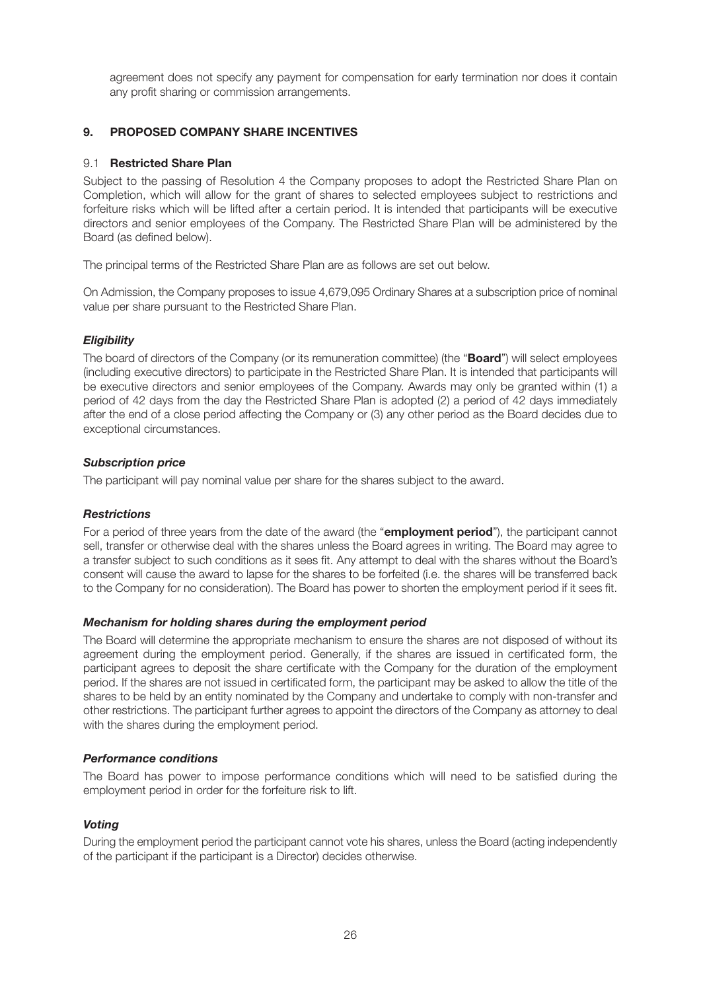agreement does not specify any payment for compensation for early termination nor does it contain any profit sharing or commission arrangements.

## **9. PROPOSED COMPANY SHARE INCENTIVES**

#### 9.1 **Restricted Share Plan**

Subject to the passing of Resolution 4 the Company proposes to adopt the Restricted Share Plan on Completion, which will allow for the grant of shares to selected employees subject to restrictions and forfeiture risks which will be lifted after a certain period. It is intended that participants will be executive directors and senior employees of the Company. The Restricted Share Plan will be administered by the Board (as defined below).

The principal terms of the Restricted Share Plan are as follows are set out below.

On Admission, the Company proposes to issue 4,679,095 Ordinary Shares at a subscription price of nominal value per share pursuant to the Restricted Share Plan.

#### *Eligibility*

The board of directors of the Company (or its remuneration committee) (the "**Board**") will select employees (including executive directors) to participate in the Restricted Share Plan. It is intended that participants will be executive directors and senior employees of the Company. Awards may only be granted within (1) a period of 42 days from the day the Restricted Share Plan is adopted (2) a period of 42 days immediately after the end of a close period affecting the Company or (3) any other period as the Board decides due to exceptional circumstances.

#### *Subscription price*

The participant will pay nominal value per share for the shares subject to the award.

#### *Restrictions*

For a period of three years from the date of the award (the "**employment period**"), the participant cannot sell, transfer or otherwise deal with the shares unless the Board agrees in writing. The Board may agree to a transfer subject to such conditions as it sees fit. Any attempt to deal with the shares without the Board's consent will cause the award to lapse for the shares to be forfeited (i.e. the shares will be transferred back to the Company for no consideration). The Board has power to shorten the employment period if it sees fit.

#### *Mechanism for holding shares during the employment period*

The Board will determine the appropriate mechanism to ensure the shares are not disposed of without its agreement during the employment period. Generally, if the shares are issued in certificated form, the participant agrees to deposit the share certificate with the Company for the duration of the employment period. If the shares are not issued in certificated form, the participant may be asked to allow the title of the shares to be held by an entity nominated by the Company and undertake to comply with non-transfer and other restrictions. The participant further agrees to appoint the directors of the Company as attorney to deal with the shares during the employment period.

#### *Performance conditions*

The Board has power to impose performance conditions which will need to be satisfied during the employment period in order for the forfeiture risk to lift.

#### *Voting*

During the employment period the participant cannot vote his shares, unless the Board (acting independently of the participant if the participant is a Director) decides otherwise.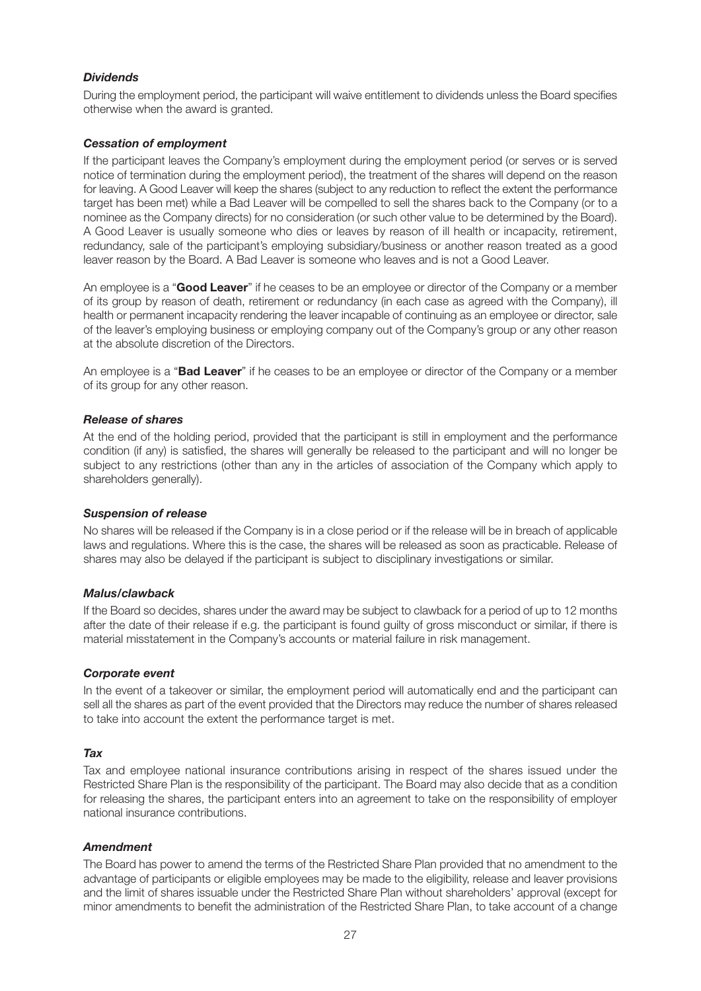## *Dividends*

During the employment period, the participant will waive entitlement to dividends unless the Board specifies otherwise when the award is granted.

### *Cessation of employment*

If the participant leaves the Company's employment during the employment period (or serves or is served notice of termination during the employment period), the treatment of the shares will depend on the reason for leaving. A Good Leaver will keep the shares (subject to any reduction to reflect the extent the performance target has been met) while a Bad Leaver will be compelled to sell the shares back to the Company (or to a nominee as the Company directs) for no consideration (or such other value to be determined by the Board). A Good Leaver is usually someone who dies or leaves by reason of ill health or incapacity, retirement, redundancy, sale of the participant's employing subsidiary/business or another reason treated as a good leaver reason by the Board. A Bad Leaver is someone who leaves and is not a Good Leaver.

An employee is a "**Good Leaver**" if he ceases to be an employee or director of the Company or a member of its group by reason of death, retirement or redundancy (in each case as agreed with the Company), ill health or permanent incapacity rendering the leaver incapable of continuing as an employee or director, sale of the leaver's employing business or employing company out of the Company's group or any other reason at the absolute discretion of the Directors.

An employee is a "**Bad Leaver**" if he ceases to be an employee or director of the Company or a member of its group for any other reason.

#### *Release of shares*

At the end of the holding period, provided that the participant is still in employment and the performance condition (if any) is satisfied, the shares will generally be released to the participant and will no longer be subject to any restrictions (other than any in the articles of association of the Company which apply to shareholders generally).

#### *Suspension of release*

No shares will be released if the Company is in a close period or if the release will be in breach of applicable laws and regulations. Where this is the case, the shares will be released as soon as practicable. Release of shares may also be delayed if the participant is subject to disciplinary investigations or similar.

#### *Malus/clawback*

If the Board so decides, shares under the award may be subject to clawback for a period of up to 12 months after the date of their release if e.g. the participant is found guilty of gross misconduct or similar, if there is material misstatement in the Company's accounts or material failure in risk management.

#### *Corporate event*

In the event of a takeover or similar, the employment period will automatically end and the participant can sell all the shares as part of the event provided that the Directors may reduce the number of shares released to take into account the extent the performance target is met.

#### *Tax*

Tax and employee national insurance contributions arising in respect of the shares issued under the Restricted Share Plan is the responsibility of the participant. The Board may also decide that as a condition for releasing the shares, the participant enters into an agreement to take on the responsibility of employer national insurance contributions.

## *Amendment*

The Board has power to amend the terms of the Restricted Share Plan provided that no amendment to the advantage of participants or eligible employees may be made to the eligibility, release and leaver provisions and the limit of shares issuable under the Restricted Share Plan without shareholders' approval (except for minor amendments to benefit the administration of the Restricted Share Plan, to take account of a change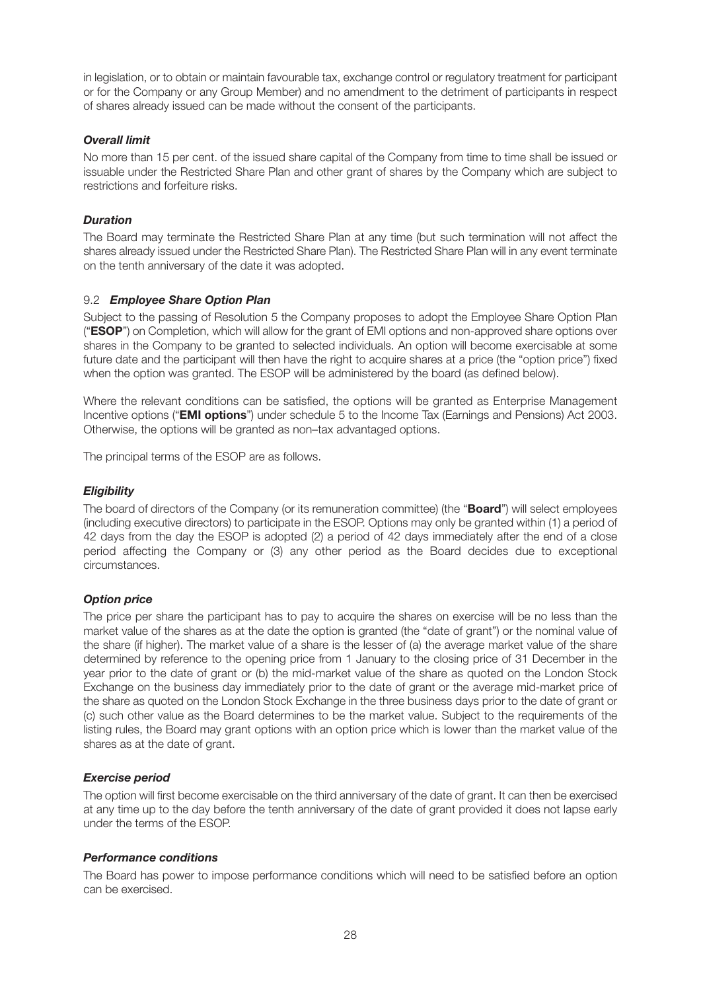in legislation, or to obtain or maintain favourable tax, exchange control or regulatory treatment for participant or for the Company or any Group Member) and no amendment to the detriment of participants in respect of shares already issued can be made without the consent of the participants.

### *Overall limit*

No more than 15 per cent. of the issued share capital of the Company from time to time shall be issued or issuable under the Restricted Share Plan and other grant of shares by the Company which are subject to restrictions and forfeiture risks.

## *Duration*

The Board may terminate the Restricted Share Plan at any time (but such termination will not affect the shares already issued under the Restricted Share Plan). The Restricted Share Plan will in any event terminate on the tenth anniversary of the date it was adopted.

## 9.2 *Employee Share Option Plan*

Subject to the passing of Resolution 5 the Company proposes to adopt the Employee Share Option Plan ("**ESOP**") on Completion, which will allow for the grant of EMI options and non-approved share options over shares in the Company to be granted to selected individuals. An option will become exercisable at some future date and the participant will then have the right to acquire shares at a price (the "option price") fixed when the option was granted. The ESOP will be administered by the board (as defined below).

Where the relevant conditions can be satisfied, the options will be granted as Enterprise Management Incentive options ("**EMI options**") under schedule 5 to the Income Tax (Earnings and Pensions) Act 2003. Otherwise, the options will be granted as non–tax advantaged options.

The principal terms of the ESOP are as follows.

## *Eligibility*

The board of directors of the Company (or its remuneration committee) (the "**Board**") will select employees (including executive directors) to participate in the ESOP. Options may only be granted within (1) a period of 42 days from the day the ESOP is adopted (2) a period of 42 days immediately after the end of a close period affecting the Company or (3) any other period as the Board decides due to exceptional circumstances.

#### *Option price*

The price per share the participant has to pay to acquire the shares on exercise will be no less than the market value of the shares as at the date the option is granted (the "date of grant") or the nominal value of the share (if higher). The market value of a share is the lesser of (a) the average market value of the share determined by reference to the opening price from 1 January to the closing price of 31 December in the year prior to the date of grant or (b) the mid-market value of the share as quoted on the London Stock Exchange on the business day immediately prior to the date of grant or the average mid-market price of the share as quoted on the London Stock Exchange in the three business days prior to the date of grant or (c) such other value as the Board determines to be the market value. Subject to the requirements of the listing rules, the Board may grant options with an option price which is lower than the market value of the shares as at the date of grant.

#### *Exercise period*

The option will first become exercisable on the third anniversary of the date of grant. It can then be exercised at any time up to the day before the tenth anniversary of the date of grant provided it does not lapse early under the terms of the ESOP.

#### *Performance conditions*

The Board has power to impose performance conditions which will need to be satisfied before an option can be exercised.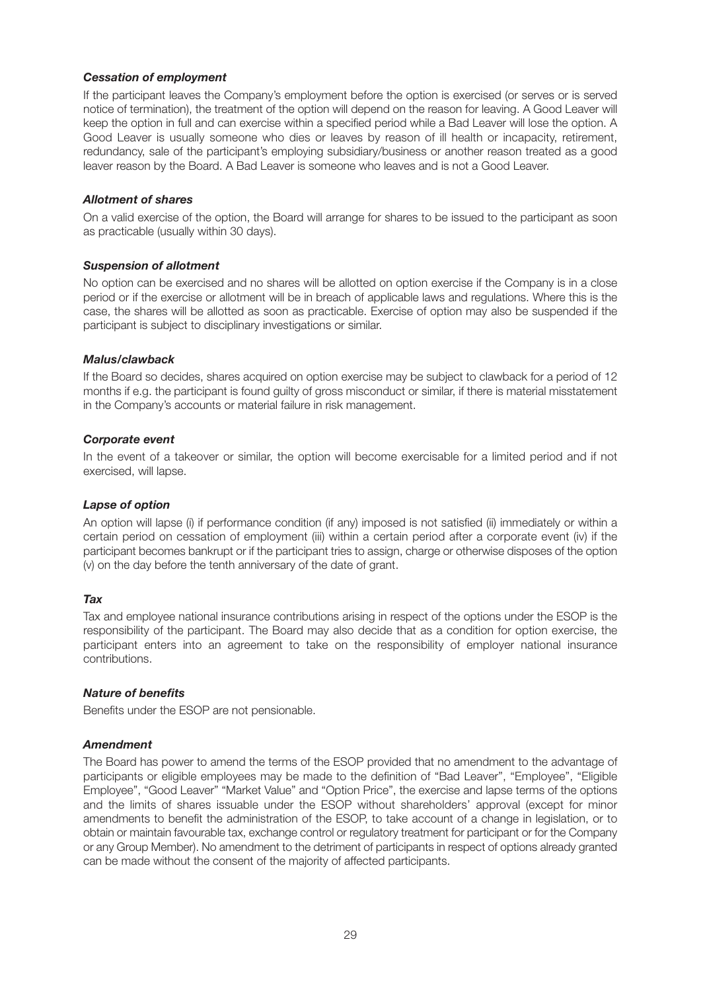#### *Cessation of employment*

If the participant leaves the Company's employment before the option is exercised (or serves or is served notice of termination), the treatment of the option will depend on the reason for leaving. A Good Leaver will keep the option in full and can exercise within a specified period while a Bad Leaver will lose the option. A Good Leaver is usually someone who dies or leaves by reason of ill health or incapacity, retirement, redundancy, sale of the participant's employing subsidiary/business or another reason treated as a good leaver reason by the Board. A Bad Leaver is someone who leaves and is not a Good Leaver.

#### *Allotment of shares*

On a valid exercise of the option, the Board will arrange for shares to be issued to the participant as soon as practicable (usually within 30 days).

#### *Suspension of allotment*

No option can be exercised and no shares will be allotted on option exercise if the Company is in a close period or if the exercise or allotment will be in breach of applicable laws and regulations. Where this is the case, the shares will be allotted as soon as practicable. Exercise of option may also be suspended if the participant is subject to disciplinary investigations or similar.

#### *Malus/clawback*

If the Board so decides, shares acquired on option exercise may be subject to clawback for a period of 12 months if e.g. the participant is found guilty of gross misconduct or similar, if there is material misstatement in the Company's accounts or material failure in risk management.

#### *Corporate event*

In the event of a takeover or similar, the option will become exercisable for a limited period and if not exercised, will lapse.

#### *Lapse of option*

An option will lapse (i) if performance condition (if any) imposed is not satisfied (ii) immediately or within a certain period on cessation of employment (iii) within a certain period after a corporate event (iv) if the participant becomes bankrupt or if the participant tries to assign, charge or otherwise disposes of the option (v) on the day before the tenth anniversary of the date of grant.

#### *Tax*

Tax and employee national insurance contributions arising in respect of the options under the ESOP is the responsibility of the participant. The Board may also decide that as a condition for option exercise, the participant enters into an agreement to take on the responsibility of employer national insurance contributions.

#### *Nature of benefits*

Benefits under the ESOP are not pensionable.

#### *Amendment*

The Board has power to amend the terms of the ESOP provided that no amendment to the advantage of participants or eligible employees may be made to the definition of "Bad Leaver", "Employee", "Eligible Employee", "Good Leaver" "Market Value" and "Option Price", the exercise and lapse terms of the options and the limits of shares issuable under the ESOP without shareholders' approval (except for minor amendments to benefit the administration of the ESOP, to take account of a change in legislation, or to obtain or maintain favourable tax, exchange control or regulatory treatment for participant or for the Company or any Group Member). No amendment to the detriment of participants in respect of options already granted can be made without the consent of the majority of affected participants.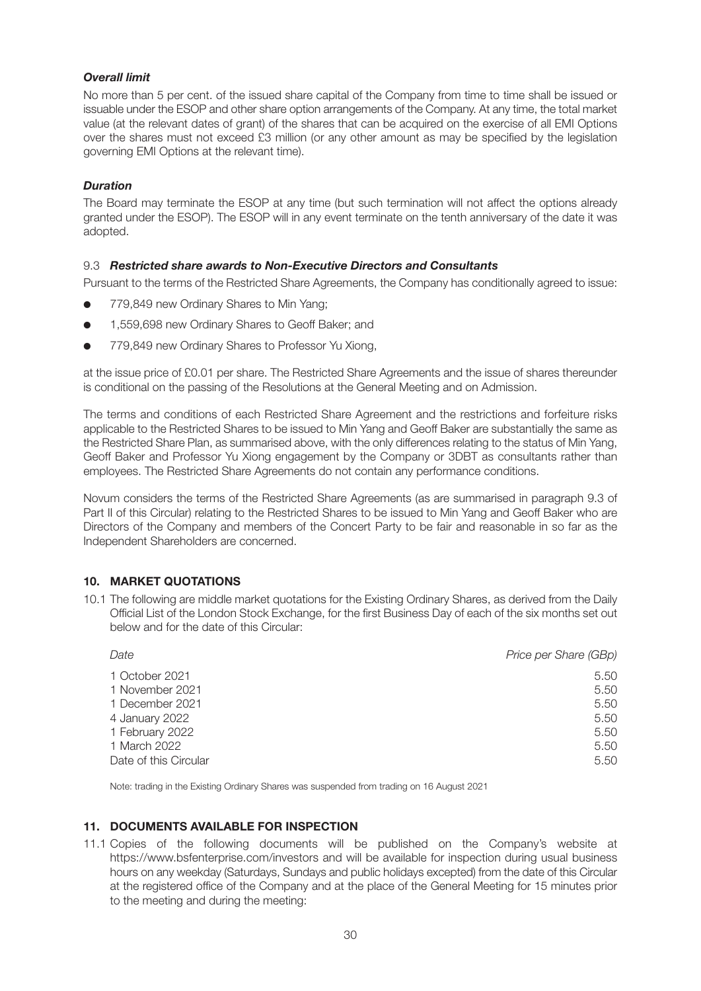## *Overall limit*

No more than 5 per cent. of the issued share capital of the Company from time to time shall be issued or issuable under the ESOP and other share option arrangements of the Company. At any time, the total market value (at the relevant dates of grant) of the shares that can be acquired on the exercise of all EMI Options over the shares must not exceed £3 million (or any other amount as may be specified by the legislation governing EMI Options at the relevant time).

### *Duration*

The Board may terminate the ESOP at any time (but such termination will not affect the options already granted under the ESOP). The ESOP will in any event terminate on the tenth anniversary of the date it was adopted.

## 9.3 *Restricted share awards to Non-Executive Directors and Consultants*

Pursuant to the terms of the Restricted Share Agreements, the Company has conditionally agreed to issue:

- 779,849 new Ordinary Shares to Min Yang;
- **.** 1,559,698 new Ordinary Shares to Geoff Baker; and
- 779,849 new Ordinary Shares to Professor Yu Xiong,

at the issue price of £0.01 per share. The Restricted Share Agreements and the issue of shares thereunder is conditional on the passing of the Resolutions at the General Meeting and on Admission.

The terms and conditions of each Restricted Share Agreement and the restrictions and forfeiture risks applicable to the Restricted Shares to be issued to Min Yang and Geoff Baker are substantially the same as the Restricted Share Plan, as summarised above, with the only differences relating to the status of Min Yang, Geoff Baker and Professor Yu Xiong engagement by the Company or 3DBT as consultants rather than employees. The Restricted Share Agreements do not contain any performance conditions.

Novum considers the terms of the Restricted Share Agreements (as are summarised in paragraph 9.3 of Part II of this Circular) relating to the Restricted Shares to be issued to Min Yang and Geoff Baker who are Directors of the Company and members of the Concert Party to be fair and reasonable in so far as the Independent Shareholders are concerned.

#### **10. MARKET QUOTATIONS**

10.1 The following are middle market quotations for the Existing Ordinary Shares, as derived from the Daily Official List of the London Stock Exchange, for the first Business Day of each of the six months set out below and for the date of this Circular:

| Date                  | Price per Share (GBp) |
|-----------------------|-----------------------|
| 1 October 2021        | 5.50                  |
| 1 November 2021       | 5.50                  |
| 1 December 2021       | 5.50                  |
| 4 January 2022        | 5.50                  |
| 1 February 2022       | 5.50                  |
| 1 March 2022          | 5.50                  |
| Date of this Circular | 5.50                  |

Note: trading in the Existing Ordinary Shares was suspended from trading on 16 August 2021

#### **11. DOCUMENTS AVAILABLE FOR INSPECTION**

11.1 Copies of the following documents will be published on the Company's website at https://www.bsfenterprise.com/investors and will be available for inspection during usual business hours on any weekday (Saturdays, Sundays and public holidays excepted) from the date of this Circular at the registered office of the Company and at the place of the General Meeting for 15 minutes prior to the meeting and during the meeting: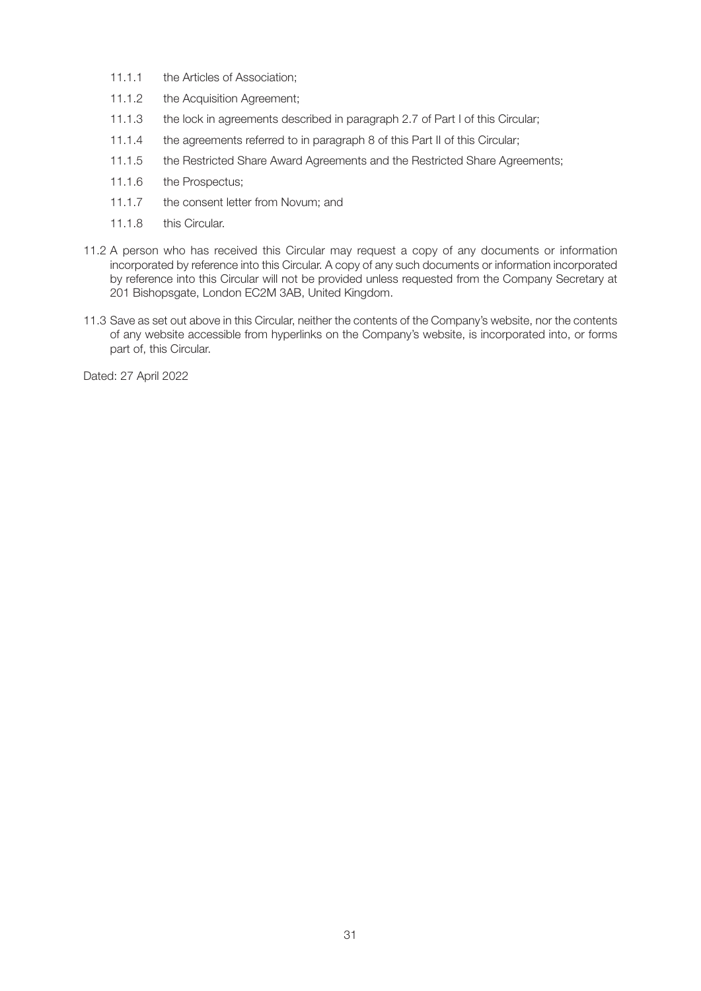- 11.1.1 the Articles of Association;
- 11.1.2 the Acquisition Agreement:
- 11.1.3 the lock in agreements described in paragraph 2.7 of Part I of this Circular;
- 11.1.4 the agreements referred to in paragraph 8 of this Part II of this Circular;
- 11.1.5 the Restricted Share Award Agreements and the Restricted Share Agreements;
- 11.1.6 the Prospectus;
- 11.1.7 the consent letter from Novum; and
- 11.1.8 this Circular.
- 11.2 A person who has received this Circular may request a copy of any documents or information incorporated by reference into this Circular. A copy of any such documents or information incorporated by reference into this Circular will not be provided unless requested from the Company Secretary at 201 Bishopsgate, London EC2M 3AB, United Kingdom.
- 11.3 Save as set out above in this Circular, neither the contents of the Company's website, nor the contents of any website accessible from hyperlinks on the Company's website, is incorporated into, or forms part of, this Circular.

Dated: 27 April 2022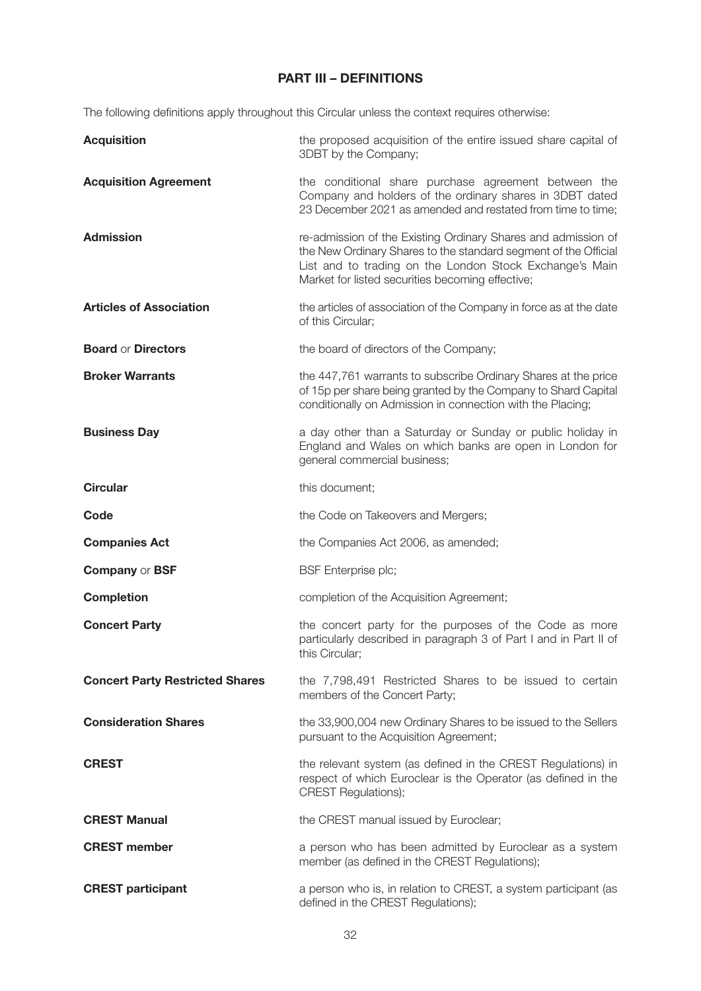## **PART III – DEFINITIONS**

The following definitions apply throughout this Circular unless the context requires otherwise:

| <b>Acquisition</b>                     | the proposed acquisition of the entire issued share capital of<br>3DBT by the Company;                                                                                                                                                          |
|----------------------------------------|-------------------------------------------------------------------------------------------------------------------------------------------------------------------------------------------------------------------------------------------------|
| <b>Acquisition Agreement</b>           | the conditional share purchase agreement between the<br>Company and holders of the ordinary shares in 3DBT dated<br>23 December 2021 as amended and restated from time to time;                                                                 |
| <b>Admission</b>                       | re-admission of the Existing Ordinary Shares and admission of<br>the New Ordinary Shares to the standard segment of the Official<br>List and to trading on the London Stock Exchange's Main<br>Market for listed securities becoming effective; |
| <b>Articles of Association</b>         | the articles of association of the Company in force as at the date<br>of this Circular;                                                                                                                                                         |
| <b>Board or Directors</b>              | the board of directors of the Company;                                                                                                                                                                                                          |
| <b>Broker Warrants</b>                 | the 447,761 warrants to subscribe Ordinary Shares at the price<br>of 15p per share being granted by the Company to Shard Capital<br>conditionally on Admission in connection with the Placing;                                                  |
| <b>Business Day</b>                    | a day other than a Saturday or Sunday or public holiday in<br>England and Wales on which banks are open in London for<br>general commercial business;                                                                                           |
| <b>Circular</b>                        | this document;                                                                                                                                                                                                                                  |
| Code                                   | the Code on Takeovers and Mergers;                                                                                                                                                                                                              |
| <b>Companies Act</b>                   | the Companies Act 2006, as amended;                                                                                                                                                                                                             |
| <b>Company or BSF</b>                  | <b>BSF</b> Enterprise plc;                                                                                                                                                                                                                      |
| <b>Completion</b>                      | completion of the Acquisition Agreement;                                                                                                                                                                                                        |
| <b>Concert Party</b>                   | the concert party for the purposes of the Code as more<br>particularly described in paragraph 3 of Part I and in Part II of<br>this Circular;                                                                                                   |
| <b>Concert Party Restricted Shares</b> | the 7,798,491 Restricted Shares to be issued to certain<br>members of the Concert Party;                                                                                                                                                        |
| <b>Consideration Shares</b>            | the 33,900,004 new Ordinary Shares to be issued to the Sellers<br>pursuant to the Acquisition Agreement;                                                                                                                                        |
| <b>CREST</b>                           | the relevant system (as defined in the CREST Regulations) in<br>respect of which Euroclear is the Operator (as defined in the<br><b>CREST Regulations);</b>                                                                                     |
| <b>CREST Manual</b>                    | the CREST manual issued by Euroclear;                                                                                                                                                                                                           |
| <b>CREST</b> member                    | a person who has been admitted by Euroclear as a system<br>member (as defined in the CREST Regulations);                                                                                                                                        |
| <b>CREST participant</b>               | a person who is, in relation to CREST, a system participant (as<br>defined in the CREST Regulations);                                                                                                                                           |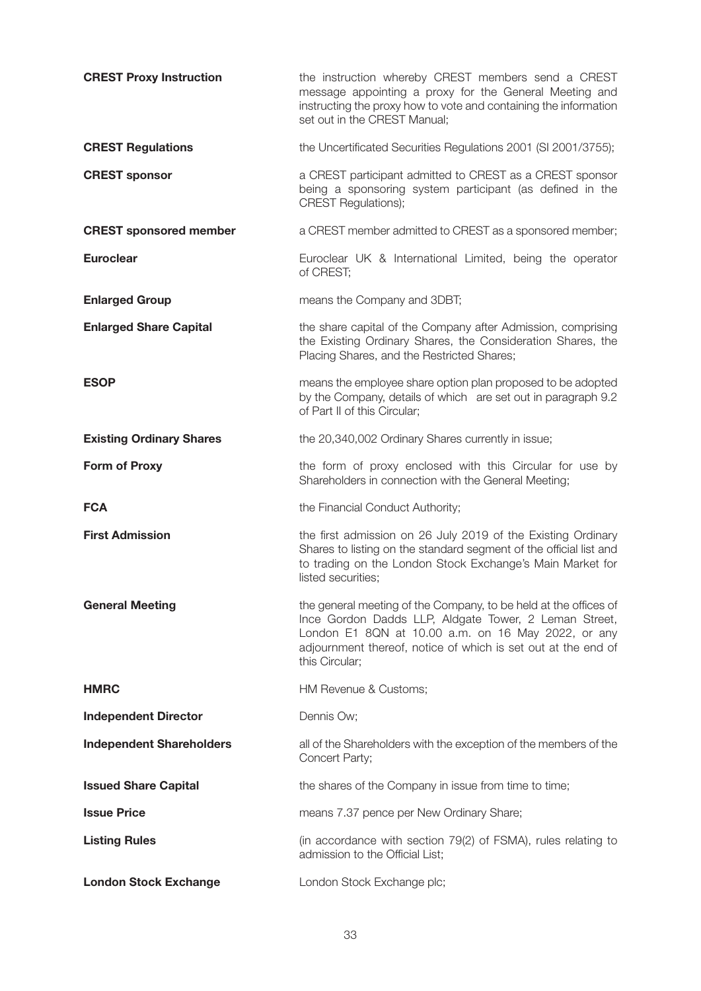| <b>CREST Proxy Instruction</b>  | the instruction whereby CREST members send a CREST<br>message appointing a proxy for the General Meeting and<br>instructing the proxy how to vote and containing the information<br>set out in the CREST Manual;                                                   |
|---------------------------------|--------------------------------------------------------------------------------------------------------------------------------------------------------------------------------------------------------------------------------------------------------------------|
| <b>CREST Regulations</b>        | the Uncertificated Securities Regulations 2001 (SI 2001/3755);                                                                                                                                                                                                     |
| <b>CREST sponsor</b>            | a CREST participant admitted to CREST as a CREST sponsor<br>being a sponsoring system participant (as defined in the<br><b>CREST Regulations);</b>                                                                                                                 |
| <b>CREST</b> sponsored member   | a CREST member admitted to CREST as a sponsored member;                                                                                                                                                                                                            |
| <b>Euroclear</b>                | Euroclear UK & International Limited, being the operator<br>of CREST;                                                                                                                                                                                              |
| <b>Enlarged Group</b>           | means the Company and 3DBT;                                                                                                                                                                                                                                        |
| <b>Enlarged Share Capital</b>   | the share capital of the Company after Admission, comprising<br>the Existing Ordinary Shares, the Consideration Shares, the<br>Placing Shares, and the Restricted Shares;                                                                                          |
| <b>ESOP</b>                     | means the employee share option plan proposed to be adopted<br>by the Company, details of which are set out in paragraph 9.2<br>of Part II of this Circular;                                                                                                       |
| <b>Existing Ordinary Shares</b> | the 20,340,002 Ordinary Shares currently in issue;                                                                                                                                                                                                                 |
| Form of Proxy                   | the form of proxy enclosed with this Circular for use by<br>Shareholders in connection with the General Meeting;                                                                                                                                                   |
| <b>FCA</b>                      | the Financial Conduct Authority;                                                                                                                                                                                                                                   |
| <b>First Admission</b>          | the first admission on 26 July 2019 of the Existing Ordinary<br>Shares to listing on the standard segment of the official list and<br>to trading on the London Stock Exchange's Main Market for<br>listed securities;                                              |
| <b>General Meeting</b>          | the general meeting of the Company, to be held at the offices of<br>Ince Gordon Dadds LLP, Aldgate Tower, 2 Leman Street,<br>London E1 8QN at 10.00 a.m. on 16 May 2022, or any<br>adjournment thereof, notice of which is set out at the end of<br>this Circular; |
| <b>HMRC</b>                     | HM Revenue & Customs;                                                                                                                                                                                                                                              |
| <b>Independent Director</b>     | Dennis Ow;                                                                                                                                                                                                                                                         |
| <b>Independent Shareholders</b> | all of the Shareholders with the exception of the members of the<br>Concert Party;                                                                                                                                                                                 |
| <b>Issued Share Capital</b>     | the shares of the Company in issue from time to time;                                                                                                                                                                                                              |
| <b>Issue Price</b>              | means 7.37 pence per New Ordinary Share;                                                                                                                                                                                                                           |
| <b>Listing Rules</b>            | (in accordance with section 79(2) of FSMA), rules relating to<br>admission to the Official List;                                                                                                                                                                   |
| <b>London Stock Exchange</b>    | London Stock Exchange plc;                                                                                                                                                                                                                                         |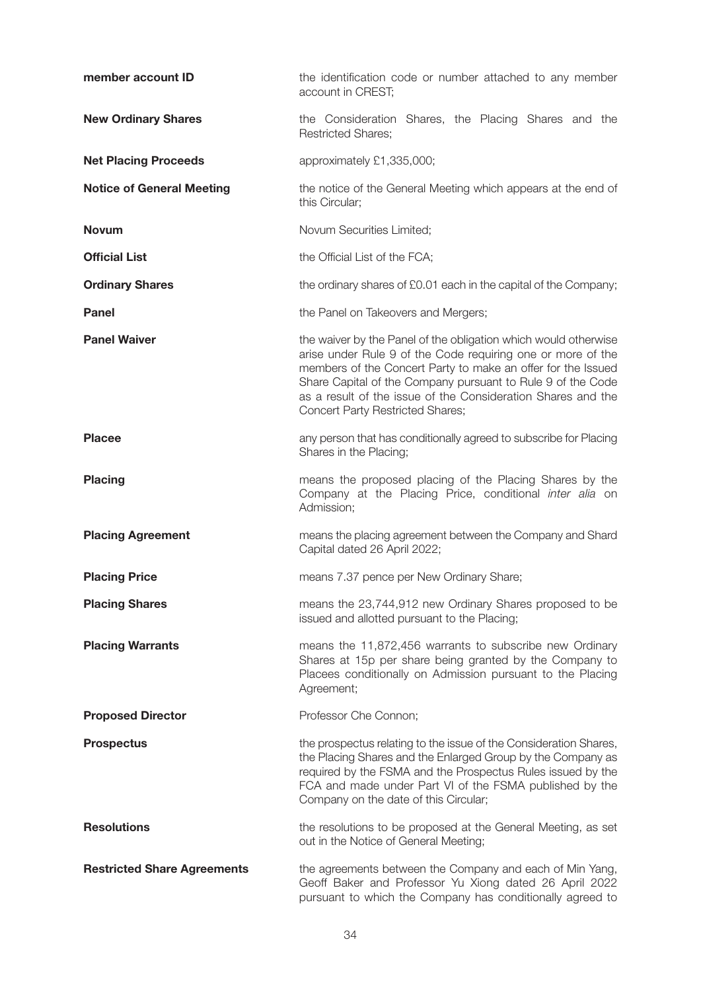| member account ID                  | the identification code or number attached to any member<br>account in CREST;                                                                                                                                                                                                                                                                                     |
|------------------------------------|-------------------------------------------------------------------------------------------------------------------------------------------------------------------------------------------------------------------------------------------------------------------------------------------------------------------------------------------------------------------|
| <b>New Ordinary Shares</b>         | the Consideration Shares, the Placing Shares and the<br><b>Restricted Shares;</b>                                                                                                                                                                                                                                                                                 |
| <b>Net Placing Proceeds</b>        | approximately £1,335,000;                                                                                                                                                                                                                                                                                                                                         |
| <b>Notice of General Meeting</b>   | the notice of the General Meeting which appears at the end of<br>this Circular;                                                                                                                                                                                                                                                                                   |
| <b>Novum</b>                       | Novum Securities Limited;                                                                                                                                                                                                                                                                                                                                         |
| <b>Official List</b>               | the Official List of the FCA;                                                                                                                                                                                                                                                                                                                                     |
| <b>Ordinary Shares</b>             | the ordinary shares of £0.01 each in the capital of the Company;                                                                                                                                                                                                                                                                                                  |
| <b>Panel</b>                       | the Panel on Takeovers and Mergers;                                                                                                                                                                                                                                                                                                                               |
| <b>Panel Waiver</b>                | the waiver by the Panel of the obligation which would otherwise<br>arise under Rule 9 of the Code requiring one or more of the<br>members of the Concert Party to make an offer for the Issued<br>Share Capital of the Company pursuant to Rule 9 of the Code<br>as a result of the issue of the Consideration Shares and the<br>Concert Party Restricted Shares; |
| <b>Placee</b>                      | any person that has conditionally agreed to subscribe for Placing<br>Shares in the Placing;                                                                                                                                                                                                                                                                       |
| <b>Placing</b>                     | means the proposed placing of the Placing Shares by the<br>Company at the Placing Price, conditional inter alia on<br>Admission;                                                                                                                                                                                                                                  |
| <b>Placing Agreement</b>           | means the placing agreement between the Company and Shard<br>Capital dated 26 April 2022;                                                                                                                                                                                                                                                                         |
| <b>Placing Price</b>               | means 7.37 pence per New Ordinary Share;                                                                                                                                                                                                                                                                                                                          |
| <b>Placing Shares</b>              | means the 23,744,912 new Ordinary Shares proposed to be<br>issued and allotted pursuant to the Placing;                                                                                                                                                                                                                                                           |
| <b>Placing Warrants</b>            | means the 11,872,456 warrants to subscribe new Ordinary<br>Shares at 15p per share being granted by the Company to<br>Placees conditionally on Admission pursuant to the Placing<br>Agreement;                                                                                                                                                                    |
| <b>Proposed Director</b>           | Professor Che Connon;                                                                                                                                                                                                                                                                                                                                             |
| <b>Prospectus</b>                  | the prospectus relating to the issue of the Consideration Shares,<br>the Placing Shares and the Enlarged Group by the Company as<br>required by the FSMA and the Prospectus Rules issued by the<br>FCA and made under Part VI of the FSMA published by the<br>Company on the date of this Circular;                                                               |
| <b>Resolutions</b>                 | the resolutions to be proposed at the General Meeting, as set<br>out in the Notice of General Meeting;                                                                                                                                                                                                                                                            |
| <b>Restricted Share Agreements</b> | the agreements between the Company and each of Min Yang,<br>Geoff Baker and Professor Yu Xiong dated 26 April 2022<br>pursuant to which the Company has conditionally agreed to                                                                                                                                                                                   |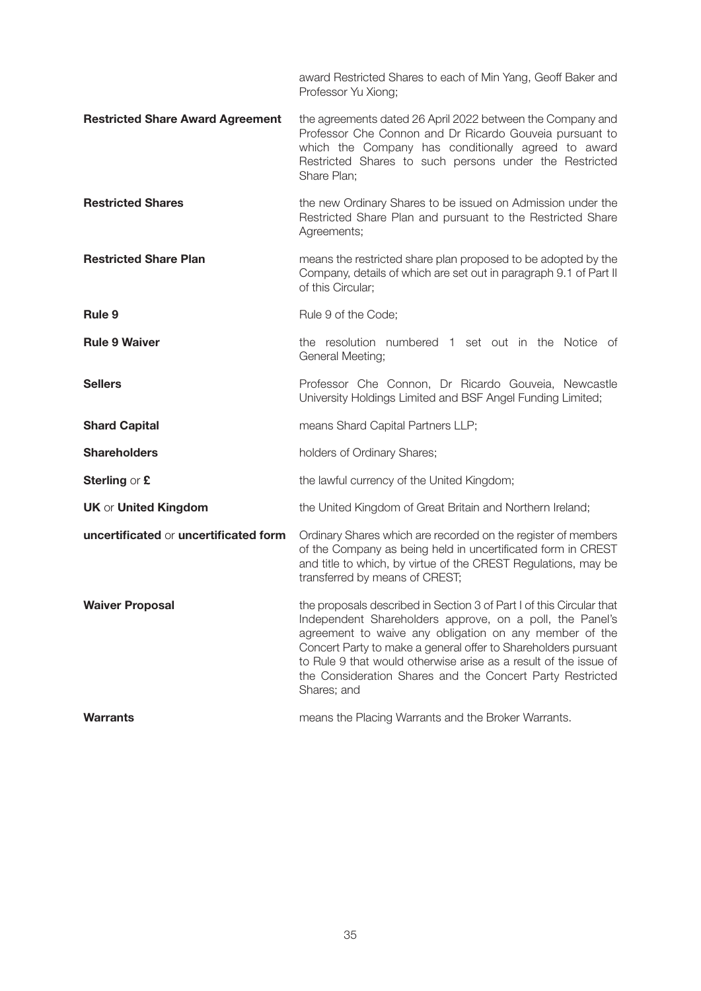award Restricted Shares to each of Min Yang, Geoff Baker and Professor Yu Xiong;

- **Restricted Share Award Agreement** the agreements dated 26 April 2022 between the Company and Professor Che Connon and Dr Ricardo Gouveia pursuant to which the Company has conditionally agreed to award Restricted Shares to such persons under the Restricted Share Plan;
- **Restricted Shares** the new Ordinary Shares to be issued on Admission under the Restricted Share Plan and pursuant to the Restricted Share Agreements;
- **Restricted Share Plan number means the restricted share plan proposed to be adopted by the** Company, details of which are set out in paragraph 9.1 of Part II of this Circular;
- **Rule 9** Rule 9 of the Code:
- **Rule 9 Waiver the resolution numbered 1 set out in the Notice of** the **Rule 9 Waiver** General Meeting;
- **Sellers Professor Che Connon, Dr Ricardo Gouveia, Newcastle** University Holdings Limited and BSF Angel Funding Limited;
- **Shard Capital Shard Capital** *Shard* Capital Partners LLP;
- **Shareholders** holders of Ordinary Shares;
- **Sterling** or **£** the lawful currency of the United Kingdom;
- **UK** or **United Kingdom** the United Kingdom of Great Britain and Northern Ireland;

**uncertificated** or **uncertificated form** Ordinary Shares which are recorded on the register of members of the Company as being held in uncertificated form in CREST and title to which, by virtue of the CREST Regulations, may be transferred by means of CREST;

- **Waiver Proposal the proposals described in Section 3 of Part I of this Circular that** Independent Shareholders approve, on a poll, the Panel's agreement to waive any obligation on any member of the Concert Party to make a general offer to Shareholders pursuant to Rule 9 that would otherwise arise as a result of the issue of the Consideration Shares and the Concert Party Restricted Shares; and
- **Warrants Marrants means the Placing Warrants and the Broker Warrants.**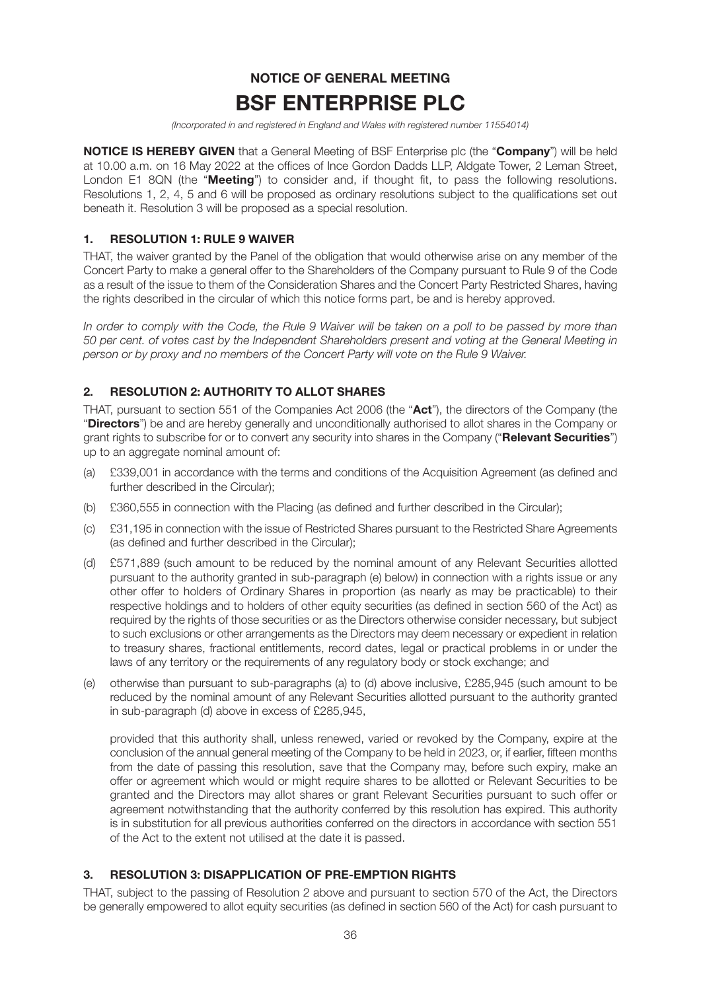## **NOTICE OF GENERAL MEETING BSF ENTERPRISE PLC**

(Incorporated in and registered in England and Wales with registered number 11554014)

**NOTICE IS HEREBY GIVEN** that a General Meeting of BSF Enterprise plc (the "**Company**") will be held at 10.00 a.m. on 16 May 2022 at the offices of Ince Gordon Dadds LLP, Aldgate Tower, 2 Leman Street, London E1 8QN (the "**Meeting**") to consider and, if thought fit, to pass the following resolutions. Resolutions 1, 2, 4, 5 and 6 will be proposed as ordinary resolutions subject to the qualifications set out beneath it. Resolution 3 will be proposed as a special resolution.

## **1. RESOLUTION 1: RULE 9 WAIVER**

THAT, the waiver granted by the Panel of the obligation that would otherwise arise on any member of the Concert Party to make a general offer to the Shareholders of the Company pursuant to Rule 9 of the Code as a result of the issue to them of the Consideration Shares and the Concert Party Restricted Shares, having the rights described in the circular of which this notice forms part, be and is hereby approved.

In order to comply with the Code, the Rule 9 Waiver will be taken on a poll to be passed by more than 50 per cent. of votes cast by the Independent Shareholders present and voting at the General Meeting in person or by proxy and no members of the Concert Party will vote on the Rule 9 Waiver.

## **2. RESOLUTION 2: AUTHORITY TO ALLOT SHARES**

THAT, pursuant to section 551 of the Companies Act 2006 (the "**Act**"), the directors of the Company (the "**Directors**") be and are hereby generally and unconditionally authorised to allot shares in the Company or grant rights to subscribe for or to convert any security into shares in the Company ("**Relevant Securities**") up to an aggregate nominal amount of:

- (a) £339,001 in accordance with the terms and conditions of the Acquisition Agreement (as defined and further described in the Circular);
- (b) £360,555 in connection with the Placing (as defined and further described in the Circular);
- (c) £31,195 in connection with the issue of Restricted Shares pursuant to the Restricted Share Agreements (as defined and further described in the Circular);
- (d) £571,889 (such amount to be reduced by the nominal amount of any Relevant Securities allotted pursuant to the authority granted in sub-paragraph (e) below) in connection with a rights issue or any other offer to holders of Ordinary Shares in proportion (as nearly as may be practicable) to their respective holdings and to holders of other equity securities (as defined in section 560 of the Act) as required by the rights of those securities or as the Directors otherwise consider necessary, but subject to such exclusions or other arrangements as the Directors may deem necessary or expedient in relation to treasury shares, fractional entitlements, record dates, legal or practical problems in or under the laws of any territory or the requirements of any regulatory body or stock exchange; and
- (e) otherwise than pursuant to sub-paragraphs (a) to (d) above inclusive, £285,945 (such amount to be reduced by the nominal amount of any Relevant Securities allotted pursuant to the authority granted in sub-paragraph (d) above in excess of £285,945,

provided that this authority shall, unless renewed, varied or revoked by the Company, expire at the conclusion of the annual general meeting of the Company to be held in 2023, or, if earlier, fifteen months from the date of passing this resolution, save that the Company may, before such expiry, make an offer or agreement which would or might require shares to be allotted or Relevant Securities to be granted and the Directors may allot shares or grant Relevant Securities pursuant to such offer or agreement notwithstanding that the authority conferred by this resolution has expired. This authority is in substitution for all previous authorities conferred on the directors in accordance with section 551 of the Act to the extent not utilised at the date it is passed.

## **3. RESOLUTION 3: DISAPPLICATION OF PRE-EMPTION RIGHTS**

THAT, subject to the passing of Resolution 2 above and pursuant to section 570 of the Act, the Directors be generally empowered to allot equity securities (as defined in section 560 of the Act) for cash pursuant to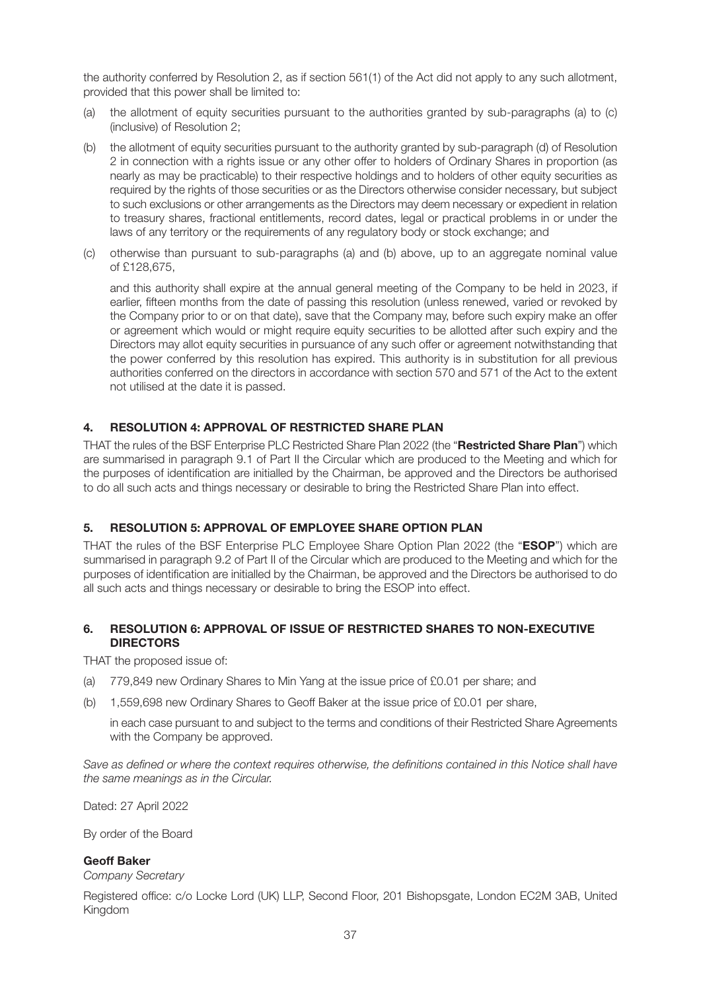the authority conferred by Resolution 2, as if section 561(1) of the Act did not apply to any such allotment, provided that this power shall be limited to:

- (a) the allotment of equity securities pursuant to the authorities granted by sub-paragraphs (a) to (c) (inclusive) of Resolution 2;
- (b) the allotment of equity securities pursuant to the authority granted by sub-paragraph (d) of Resolution 2 in connection with a rights issue or any other offer to holders of Ordinary Shares in proportion (as nearly as may be practicable) to their respective holdings and to holders of other equity securities as required by the rights of those securities or as the Directors otherwise consider necessary, but subject to such exclusions or other arrangements as the Directors may deem necessary or expedient in relation to treasury shares, fractional entitlements, record dates, legal or practical problems in or under the laws of any territory or the requirements of any regulatory body or stock exchange; and
- (c) otherwise than pursuant to sub-paragraphs (a) and (b) above, up to an aggregate nominal value of £128,675,

and this authority shall expire at the annual general meeting of the Company to be held in 2023, if earlier, fifteen months from the date of passing this resolution (unless renewed, varied or revoked by the Company prior to or on that date), save that the Company may, before such expiry make an offer or agreement which would or might require equity securities to be allotted after such expiry and the Directors may allot equity securities in pursuance of any such offer or agreement notwithstanding that the power conferred by this resolution has expired. This authority is in substitution for all previous authorities conferred on the directors in accordance with section 570 and 571 of the Act to the extent not utilised at the date it is passed.

## **4. RESOLUTION 4: APPROVAL OF RESTRICTED SHARE PLAN**

THAT the rules of the BSF Enterprise PLC Restricted Share Plan 2022 (the "**Restricted Share Plan**") which are summarised in paragraph 9.1 of Part II the Circular which are produced to the Meeting and which for the purposes of identification are initialled by the Chairman, be approved and the Directors be authorised to do all such acts and things necessary or desirable to bring the Restricted Share Plan into effect.

#### **5. RESOLUTION 5: APPROVAL OF EMPLOYEE SHARE OPTION PLAN**

THAT the rules of the BSF Enterprise PLC Employee Share Option Plan 2022 (the "**ESOP**") which are summarised in paragraph 9.2 of Part II of the Circular which are produced to the Meeting and which for the purposes of identification are initialled by the Chairman, be approved and the Directors be authorised to do all such acts and things necessary or desirable to bring the ESOP into effect.

#### **6. RESOLUTION 6: APPROVAL OF ISSUE OF RESTRICTED SHARES TO NON-EXECUTIVE DIRECTORS**

THAT the proposed issue of:

- (a) 779,849 new Ordinary Shares to Min Yang at the issue price of £0.01 per share; and
- (b) 1,559,698 new Ordinary Shares to Geoff Baker at the issue price of £0.01 per share,

in each case pursuant to and subject to the terms and conditions of their Restricted Share Agreements with the Company be approved.

Save as defined or where the context requires otherwise, the definitions contained in this Notice shall have the same meanings as in the Circular.

Dated: 27 April 2022

By order of the Board

#### **Geoff Baker**

Company Secretary

Registered office: c/o Locke Lord (UK) LLP, Second Floor, 201 Bishopsgate, London EC2M 3AB, United Kingdom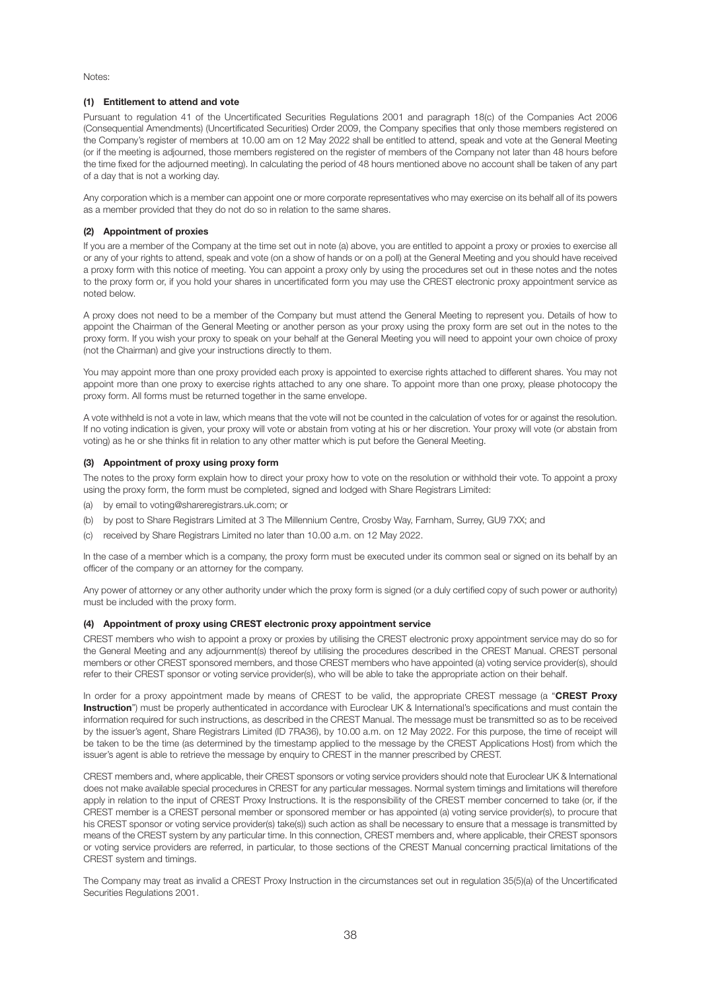Notes:

#### **(1) Entitlement to attend and vote**

Pursuant to regulation 41 of the Uncertificated Securities Regulations 2001 and paragraph 18(c) of the Companies Act 2006 (Consequential Amendments) (Uncertificated Securities) Order 2009, the Company specifies that only those members registered on the Company's register of members at 10.00 am on 12 May 2022 shall be entitled to attend, speak and vote at the General Meeting (or if the meeting is adjourned, those members registered on the register of members of the Company not later than 48 hours before the time fixed for the adjourned meeting). In calculating the period of 48 hours mentioned above no account shall be taken of any part of a day that is not a working day.

Any corporation which is a member can appoint one or more corporate representatives who may exercise on its behalf all of its powers as a member provided that they do not do so in relation to the same shares.

#### **(2) Appointment of proxies**

If you are a member of the Company at the time set out in note (a) above, you are entitled to appoint a proxy or proxies to exercise all or any of your rights to attend, speak and vote (on a show of hands or on a poll) at the General Meeting and you should have received a proxy form with this notice of meeting. You can appoint a proxy only by using the procedures set out in these notes and the notes to the proxy form or, if you hold your shares in uncertificated form you may use the CREST electronic proxy appointment service as noted below.

A proxy does not need to be a member of the Company but must attend the General Meeting to represent you. Details of how to appoint the Chairman of the General Meeting or another person as your proxy using the proxy form are set out in the notes to the proxy form. If you wish your proxy to speak on your behalf at the General Meeting you will need to appoint your own choice of proxy (not the Chairman) and give your instructions directly to them.

You may appoint more than one proxy provided each proxy is appointed to exercise rights attached to different shares. You may not appoint more than one proxy to exercise rights attached to any one share. To appoint more than one proxy, please photocopy the proxy form. All forms must be returned together in the same envelope.

A vote withheld is not a vote in law, which means that the vote will not be counted in the calculation of votes for or against the resolution. If no voting indication is given, your proxy will vote or abstain from voting at his or her discretion. Your proxy will vote (or abstain from voting) as he or she thinks fit in relation to any other matter which is put before the General Meeting.

#### **(3) Appointment of proxy using proxy form**

The notes to the proxy form explain how to direct your proxy how to vote on the resolution or withhold their vote. To appoint a proxy using the proxy form, the form must be completed, signed and lodged with Share Registrars Limited:

- (a) by email to voting@shareregistrars.uk.com; or
- (b) by post to Share Registrars Limited at 3 The Millennium Centre, Crosby Way, Farnham, Surrey, GU9 7XX; and
- (c) received by Share Registrars Limited no later than 10.00 a.m. on 12 May 2022.

In the case of a member which is a company, the proxy form must be executed under its common seal or signed on its behalf by an officer of the company or an attorney for the company.

Any power of attorney or any other authority under which the proxy form is signed (or a duly certified copy of such power or authority) must be included with the proxy form.

#### **(4) Appointment of proxy using CREST electronic proxy appointment service**

CREST members who wish to appoint a proxy or proxies by utilising the CREST electronic proxy appointment service may do so for the General Meeting and any adjournment(s) thereof by utilising the procedures described in the CREST Manual. CREST personal members or other CREST sponsored members, and those CREST members who have appointed (a) voting service provider(s), should refer to their CREST sponsor or voting service provider(s), who will be able to take the appropriate action on their behalf.

In order for a proxy appointment made by means of CREST to be valid, the appropriate CREST message (a "**CREST Proxy Instruction**") must be properly authenticated in accordance with Euroclear UK & International's specifications and must contain the information required for such instructions, as described in the CREST Manual. The message must be transmitted so as to be received by the issuer's agent, Share Registrars Limited (ID 7RA36), by 10.00 a.m. on 12 May 2022. For this purpose, the time of receipt will be taken to be the time (as determined by the timestamp applied to the message by the CREST Applications Host) from which the issuer's agent is able to retrieve the message by enquiry to CREST in the manner prescribed by CREST.

CREST members and, where applicable, their CREST sponsors or voting service providers should note that Euroclear UK & International does not make available special procedures in CREST for any particular messages. Normal system timings and limitations will therefore apply in relation to the input of CREST Proxy Instructions. It is the responsibility of the CREST member concerned to take (or, if the CREST member is a CREST personal member or sponsored member or has appointed (a) voting service provider(s), to procure that his CREST sponsor or voting service provider(s) take(s)) such action as shall be necessary to ensure that a message is transmitted by means of the CREST system by any particular time. In this connection, CREST members and, where applicable, their CREST sponsors or voting service providers are referred, in particular, to those sections of the CREST Manual concerning practical limitations of the CREST system and timings.

The Company may treat as invalid a CREST Proxy Instruction in the circumstances set out in regulation 35(5)(a) of the Uncertificated Securities Regulations 2001.